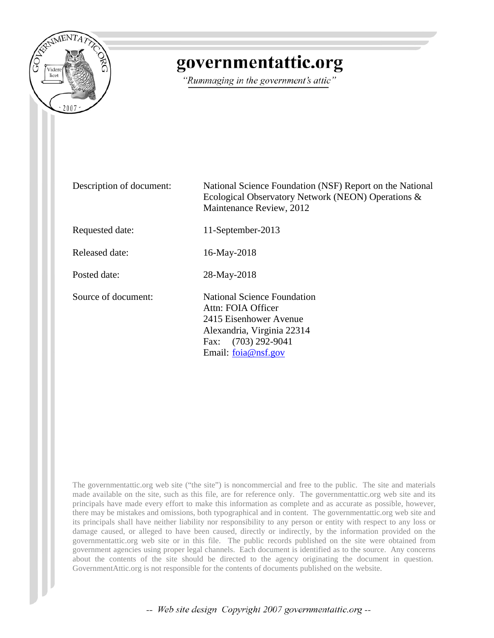

# governmentattic.org

"Rummaging in the government's attic"

Description of document: National Science Foundation (NSF) Report on the National Ecological Observatory Network (NEON) Operations & Maintenance Review, 2012 Requested date: 11-September-2013 Released date: 16-May-2018 Posted date: 28-May-2018 Source of document: National Science Foundation Attn: FOIA Officer 2415 Eisenhower Avenue Alexandria, Virginia 22314 Fax: (703) 292-9041 Email: [foia@nsf.gov](mailto:foia@nsf.gov?subject=FOIA%20Request)

The governmentattic.org web site ("the site") is noncommercial and free to the public. The site and materials made available on the site, such as this file, are for reference only. The governmentattic.org web site and its principals have made every effort to make this information as complete and as accurate as possible, however, there may be mistakes and omissions, both typographical and in content. The governmentattic.org web site and its principals shall have neither liability nor responsibility to any person or entity with respect to any loss or damage caused, or alleged to have been caused, directly or indirectly, by the information provided on the governmentattic.org web site or in this file. The public records published on the site were obtained from government agencies using proper legal channels. Each document is identified as to the source. Any concerns about the contents of the site should be directed to the agency originating the document in question. GovernmentAttic.org is not responsible for the contents of documents published on the website.

-- Web site design Copyright 2007 governmentattic.org --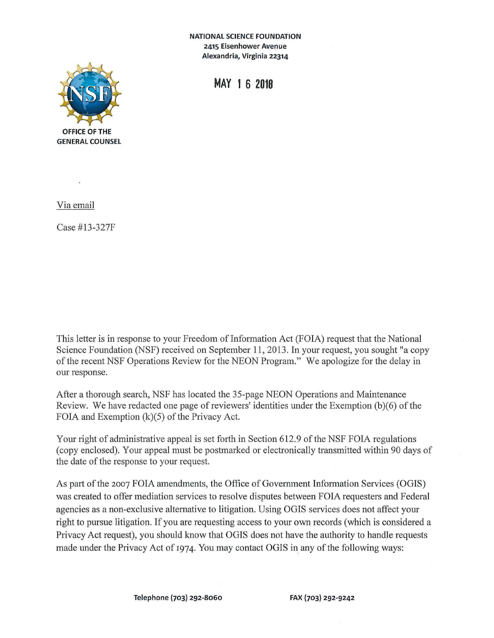**NATIONAL SCIENCE FOUNDATION 2415 Eisenhower Avenue Alexandria, Virginia 22314** 



**MAY 1 6 2018** 

Via email

Case #13-327F

This letter is in response to your Freedom of Information Act (FOIA) request that the National Science Foundation (NSF) received on September 11, 2013. In your request, you sought "a copy of the recent NSF Operations Review for the NEON Program." We apologize for the delay in our response.

After a thorough search, NSF has located the 35-page NEON Operations and Maintenance Review. We have redacted one page of reviewers' identities under the Exemption (b)(6) of the FOIA and Exemption (k)(5) of the Privacy Act.

Your right of administrative appeal is set forth in Section 612.9 of the NSF FOIA regulations ( copy enclosed). Your appeal must be postmarked or electronically transmitted within 90 days of the date of the response to your request.

As part of the 2007 FOIA amendments, the Office of Government Information Services (OGIS) was created to offer mediation services to resolve disputes between FOIA requesters and Federal agencies as a non-exclusive alternative to litigation. Using OGIS services does not affect your right to pursue litigation. If you are requesting access to your own records (which is considered a Privacy Act request), you should know that OGIS does not have the authority to handle requests made under the Privacy Act of 1974. You may contact OGIS in any of the following ways: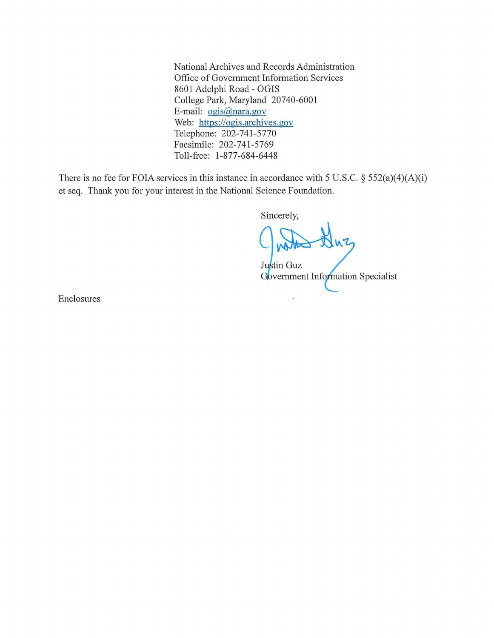National Archives and Records Administration Office of Government Information Services 8601 Adelphi Road - OGIS College Park, Maryland 20740-6001 E-mail: ogis@nara.gov Web: https://ogis.archives.gov Telephone: 202-741-5770 Facsimile: 202-741-5769 Toll-free: 1-877-684-6448

There is no fee for FOIA services in this instance in accordance with 5 U.S.C.  $\S$  552(a)(4)(A)(i) et seq. Thank you for your interest in the National Science Foundation.

Sincerely,

rerely,

Justin Guz<br>Government Information Specialist

Enclosures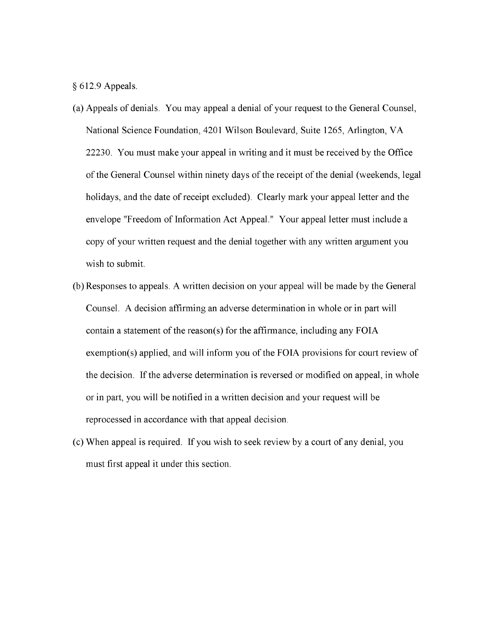§ 612.9 Appeals.

- (a) Appeals of denials. You may appeal a denial of your request to the General Counsel, National Science Foundation, 4201 Wilson Boulevard, Suite 1265, Arlington, VA 22230. You must make your appeal in writing and it must be received by the Office of the General Counsel within ninety days of the receipt of the denial (weekends, legal holidays, and the date of receipt excluded). Clearly mark your appeal letter and the envelope "Freedom of Information Act Appeal." Your appeal letter must include a copy of your written request and the denial together with any written argument you wish to submit.
- (b) Responses to appeals. A written decision on your appeal will be made by the General Counsel. A decision affirming an adverse determination in whole or in part will contain a statement of the reason(s) for the affirmance, including any FOIA exemption(s) applied, and will inform you of the FOIA provisions for court review of the decision. If the adverse determination is reversed or modified on appeal, in whole or in part, you will be notified in a written decision and your request will be reprocessed in accordance with that appeal decision.
- ( c) When appeal is required. If you wish to seek review by a court of any denial, you must first appeal it under this section.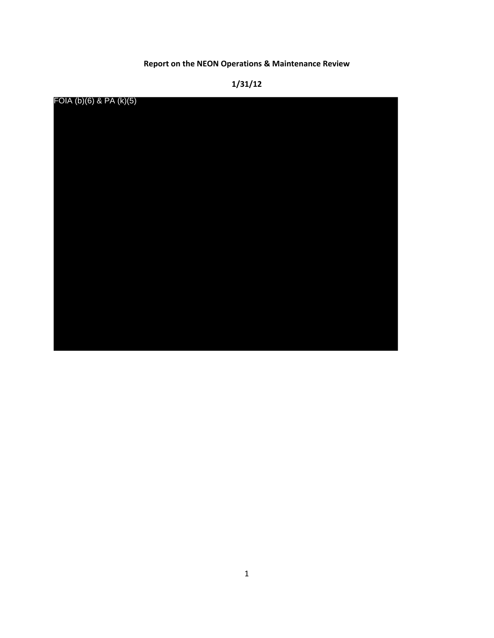# **Report on the NEON Operations & Maintenance Review**

# **1/31/12**

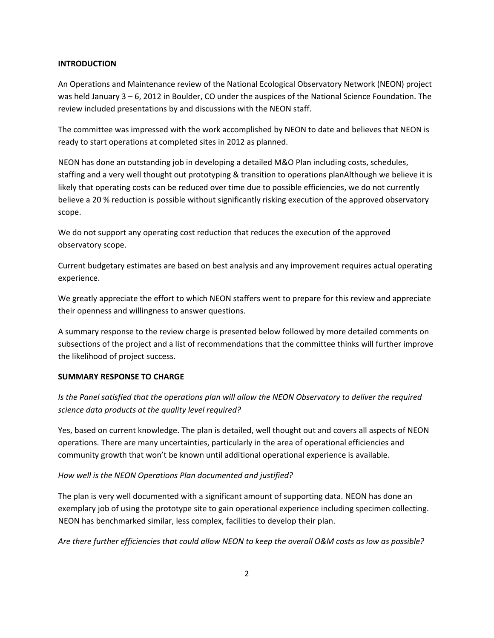# **INTRODUCTION**

An Operations and Maintenance review of the National Ecological Observatory Network (NEON) project was held January 3 – 6, 2012 in Boulder, CO under the auspices of the National Science Foundation. The review included presentations by and discussions with the NEON staff.

The committee was impressed with the work accomplished by NEON to date and believes that NEON is ready to start operations at completed sites in 2012 as planned.

NEON has done an outstanding job in developing a detailed M&O Plan including costs, schedules, staffing and a very well thought out prototyping & transition to operations planAlthough we believe it is likely that operating costs can be reduced over time due to possible efficiencies, we do not currently believe a 20 % reduction is possible without significantly risking execution of the approved observatory scope.

We do not support any operating cost reduction that reduces the execution of the approved observatory scope.

Current budgetary estimates are based on best analysis and any improvement requires actual operating experience.

We greatly appreciate the effort to which NEON staffers went to prepare for this review and appreciate their openness and willingness to answer questions.

A summary response to the review charge is presented below followed by more detailed comments on subsections of the project and a list of recommendations that the committee thinks will further improve the likelihood of project success.

# **SUMMARY RESPONSE TO CHARGE**

*Is the Panel satisfied that the operations plan will allow the NEON Observatory to deliver the required science data products at the quality level required?*

Yes, based on current knowledge. The plan is detailed, well thought out and covers all aspects of NEON operations. There are many uncertainties, particularly in the area of operational efficiencies and community growth that won't be known until additional operational experience is available.

# *How well is the NEON Operations Plan documented and justified?*

The plan is very well documented with a significant amount of supporting data. NEON has done an exemplary job of using the prototype site to gain operational experience including specimen collecting. NEON has benchmarked similar, less complex, facilities to develop their plan.

*Are there further efficiencies that could allow NEON to keep the overall O&M costs as low as possible?*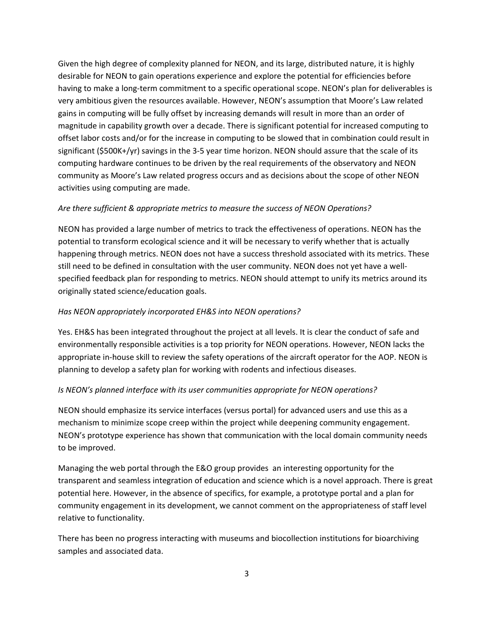Given the high degree of complexity planned for NEON, and its large, distributed nature, it is highly desirable for NEON to gain operations experience and explore the potential for efficiencies before having to make a long-term commitment to a specific operational scope. NEON's plan for deliverables is very ambitious given the resources available. However, NEON's assumption that Moore's Law related gains in computing will be fully offset by increasing demands will result in more than an order of magnitude in capability growth over a decade. There is significant potential for increased computing to offset labor costs and/or for the increase in computing to be slowed that in combination could result in significant (\$500K+/yr) savings in the 3-5 year time horizon. NEON should assure that the scale of its computing hardware continues to be driven by the real requirements of the observatory and NEON community as Moore's Law related progress occurs and as decisions about the scope of other NEON activities using computing are made.

# *Are there sufficient & appropriate metrics to measure the success of NEON Operations?*

NEON has provided a large number of metrics to track the effectiveness of operations. NEON has the potential to transform ecological science and it will be necessary to verify whether that is actually happening through metrics. NEON does not have a success threshold associated with its metrics. These still need to be defined in consultation with the user community. NEON does not yet have a wellspecified feedback plan for responding to metrics. NEON should attempt to unify its metrics around its originally stated science/education goals.

#### *Has NEON appropriately incorporated EH&S into NEON operations?*

Yes. EH&S has been integrated throughout the project at all levels. It is clear the conduct of safe and environmentally responsible activities is a top priority for NEON operations. However, NEON lacks the appropriate in-house skill to review the safety operations of the aircraft operator for the AOP. NEON is planning to develop a safety plan for working with rodents and infectious diseases.

#### *Is NEON's planned interface with its user communities appropriate for NEON operations?*

NEON should emphasize its service interfaces (versus portal) for advanced users and use this as a mechanism to minimize scope creep within the project while deepening community engagement. NEON's prototype experience has shown that communication with the local domain community needs to be improved.

Managing the web portal through the E&O group provides an interesting opportunity for the transparent and seamless integration of education and science which is a novel approach. There is great potential here. However, in the absence of specifics, for example, a prototype portal and a plan for community engagement in its development, we cannot comment on the appropriateness of staff level relative to functionality.

There has been no progress interacting with museums and biocollection institutions for bioarchiving samples and associated data.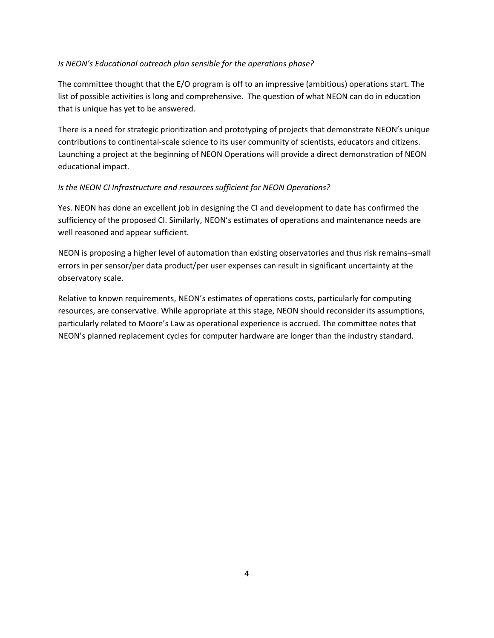# *Is NEON's Educational outreach plan sensible for the operations phase?*

The committee thought that the E/O program is off to an impressive (ambitious) operations start. The list of possible activities is long and comprehensive. The question of what NEON can do in education that is unique has yet to be answered.

There is a need for strategic prioritization and prototyping of projects that demonstrate NEON's unique contributions to continental-scale science to its user community of scientists, educators and citizens. Launching a project at the beginning of NEON Operations will provide a direct demonstration of NEON educational impact.

# *Is the NEON CI Infrastructure and resources sufficient for NEON Operations?*

Yes. NEON has done an excellent job in designing the CI and development to date has confirmed the sufficiency of the proposed CI. Similarly, NEON's estimates of operations and maintenance needs are well reasoned and appear sufficient.

NEON is proposing a higher level of automation than existing observatories and thus risk remains–small errors in per sensor/per data product/per user expenses can result in significant uncertainty at the observatory scale.

Relative to known requirements, NEON's estimates of operations costs, particularly for computing resources, are conservative. While appropriate at this stage, NEON should reconsider its assumptions, particularly related to Moore's Law as operational experience is accrued. The committee notes that NEON's planned replacement cycles for computer hardware are longer than the industry standard.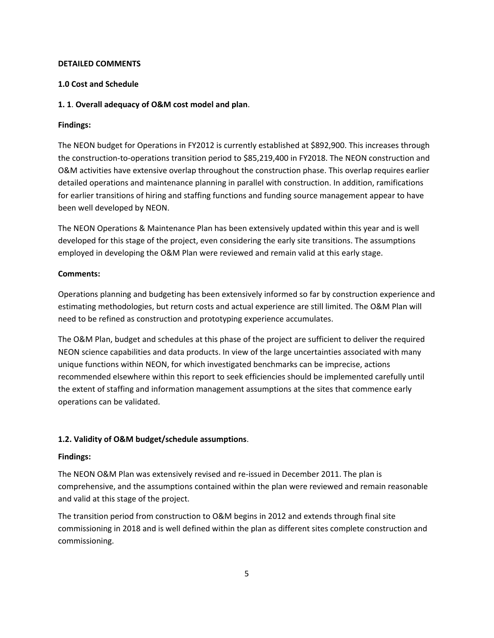# **DETAILED COMMENTS**

# **1.0 Cost and Schedule**

# **1. 1**. **Overall adequacy of O&M cost model and plan**.

# **Findings:**

The NEON budget for Operations in FY2012 is currently established at \$892,900. This increases through the construction-to-operations transition period to \$85,219,400 in FY2018. The NEON construction and O&M activities have extensive overlap throughout the construction phase. This overlap requires earlier detailed operations and maintenance planning in parallel with construction. In addition, ramifications for earlier transitions of hiring and staffing functions and funding source management appear to have been well developed by NEON.

The NEON Operations & Maintenance Plan has been extensively updated within this year and is well developed for this stage of the project, even considering the early site transitions. The assumptions employed in developing the O&M Plan were reviewed and remain valid at this early stage.

# **Comments:**

Operations planning and budgeting has been extensively informed so far by construction experience and estimating methodologies, but return costs and actual experience are still limited. The O&M Plan will need to be refined as construction and prototyping experience accumulates.

The O&M Plan, budget and schedules at this phase of the project are sufficient to deliver the required NEON science capabilities and data products. In view of the large uncertainties associated with many unique functions within NEON, for which investigated benchmarks can be imprecise, actions recommended elsewhere within this report to seek efficiencies should be implemented carefully until the extent of staffing and information management assumptions at the sites that commence early operations can be validated.

# **1.2. Validity of O&M budget/schedule assumptions**.

# **Findings:**

The NEON O&M Plan was extensively revised and re-issued in December 2011. The plan is comprehensive, and the assumptions contained within the plan were reviewed and remain reasonable and valid at this stage of the project.

The transition period from construction to O&M begins in 2012 and extends through final site commissioning in 2018 and is well defined within the plan as different sites complete construction and commissioning.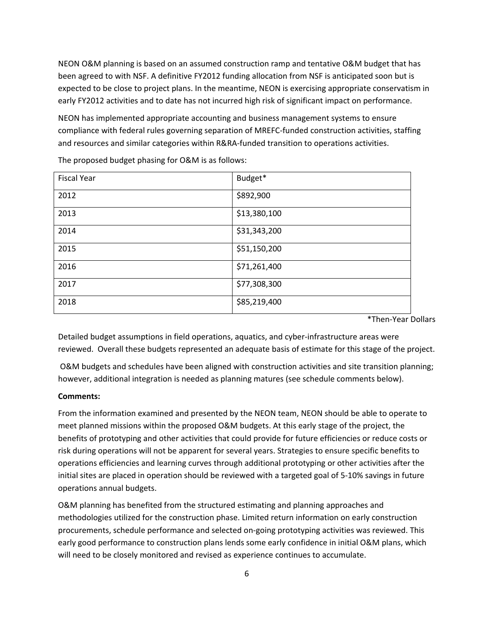NEON O&M planning is based on an assumed construction ramp and tentative O&M budget that has been agreed to with NSF. A definitive FY2012 funding allocation from NSF is anticipated soon but is expected to be close to project plans. In the meantime, NEON is exercising appropriate conservatism in early FY2012 activities and to date has not incurred high risk of significant impact on performance.

NEON has implemented appropriate accounting and business management systems to ensure compliance with federal rules governing separation of MREFC-funded construction activities, staffing and resources and similar categories within R&RA-funded transition to operations activities.

| <b>Fiscal Year</b> | Budget*      |
|--------------------|--------------|
| 2012               | \$892,900    |
| 2013               | \$13,380,100 |
| 2014               | \$31,343,200 |
| 2015               | \$51,150,200 |
| 2016               | \$71,261,400 |
| 2017               | \$77,308,300 |
| 2018               | \$85,219,400 |

The proposed budget phasing for O&M is as follows:

\*Then-Year Dollars

Detailed budget assumptions in field operations, aquatics, and cyber-infrastructure areas were reviewed. Overall these budgets represented an adequate basis of estimate for this stage of the project.

O&M budgets and schedules have been aligned with construction activities and site transition planning; however, additional integration is needed as planning matures (see schedule comments below).

#### **Comments:**

From the information examined and presented by the NEON team, NEON should be able to operate to meet planned missions within the proposed O&M budgets. At this early stage of the project, the benefits of prototyping and other activities that could provide for future efficiencies or reduce costs or risk during operations will not be apparent for several years. Strategies to ensure specific benefits to operations efficiencies and learning curves through additional prototyping or other activities after the initial sites are placed in operation should be reviewed with a targeted goal of 5-10% savings in future operations annual budgets.

O&M planning has benefited from the structured estimating and planning approaches and methodologies utilized for the construction phase. Limited return information on early construction procurements, schedule performance and selected on-going prototyping activities was reviewed. This early good performance to construction plans lends some early confidence in initial O&M plans, which will need to be closely monitored and revised as experience continues to accumulate.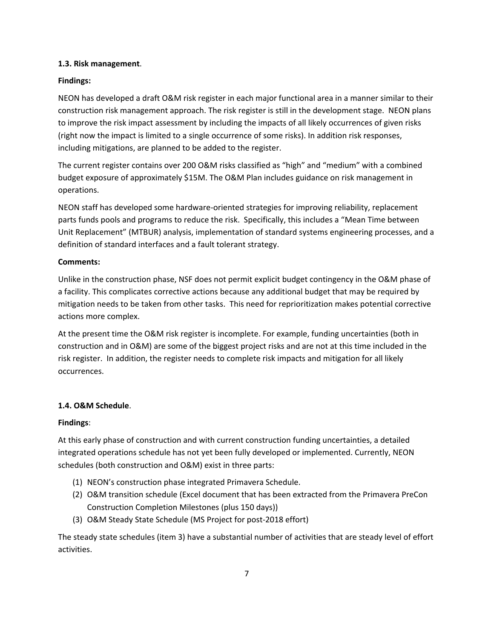# **1.3. Risk management**.

# **Findings:**

NEON has developed a draft O&M risk register in each major functional area in a manner similar to their construction risk management approach. The risk register is still in the development stage. NEON plans to improve the risk impact assessment by including the impacts of all likely occurrences of given risks (right now the impact is limited to a single occurrence of some risks). In addition risk responses, including mitigations, are planned to be added to the register.

The current register contains over 200 O&M risks classified as "high" and "medium" with a combined budget exposure of approximately \$15M. The O&M Plan includes guidance on risk management in operations.

NEON staff has developed some hardware-oriented strategies for improving reliability, replacement parts funds pools and programs to reduce the risk. Specifically, this includes a "Mean Time between Unit Replacement" (MTBUR) analysis, implementation of standard systems engineering processes, and a definition of standard interfaces and a fault tolerant strategy.

# **Comments:**

Unlike in the construction phase, NSF does not permit explicit budget contingency in the O&M phase of a facility. This complicates corrective actions because any additional budget that may be required by mitigation needs to be taken from other tasks. This need for reprioritization makes potential corrective actions more complex.

At the present time the O&M risk register is incomplete. For example, funding uncertainties (both in construction and in O&M) are some of the biggest project risks and are not at this time included in the risk register. In addition, the register needs to complete risk impacts and mitigation for all likely occurrences.

# **1.4. O&M Schedule**.

# **Findings**:

At this early phase of construction and with current construction funding uncertainties, a detailed integrated operations schedule has not yet been fully developed or implemented. Currently, NEON schedules (both construction and O&M) exist in three parts:

- (1) NEON's construction phase integrated Primavera Schedule.
- (2) O&M transition schedule (Excel document that has been extracted from the Primavera PreCon Construction Completion Milestones (plus 150 days))
- (3) O&M Steady State Schedule (MS Project for post-2018 effort)

The steady state schedules (item 3) have a substantial number of activities that are steady level of effort activities.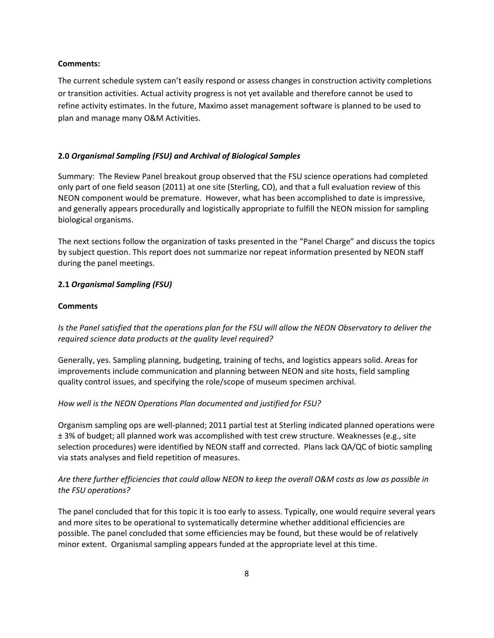#### **Comments:**

The current schedule system can't easily respond or assess changes in construction activity completions or transition activities. Actual activity progress is not yet available and therefore cannot be used to refine activity estimates. In the future, Maximo asset management software is planned to be used to plan and manage many O&M Activities.

## **2.0** *Organismal Sampling (FSU) and Archival of Biological Samples*

Summary: The Review Panel breakout group observed that the FSU science operations had completed only part of one field season (2011) at one site (Sterling, CO), and that a full evaluation review of this NEON component would be premature. However, what has been accomplished to date is impressive, and generally appears procedurally and logistically appropriate to fulfill the NEON mission for sampling biological organisms.

The next sections follow the organization of tasks presented in the "Panel Charge" and discuss the topics by subject question. This report does not summarize nor repeat information presented by NEON staff during the panel meetings.

#### **2.1** *Organismal Sampling (FSU)*

#### **Comments**

*Is the Panel satisfied that the operations plan for the FSU will allow the NEON Observatory to deliver the required science data products at the quality level required?* 

Generally, yes. Sampling planning, budgeting, training of techs, and logistics appears solid. Areas for improvements include communication and planning between NEON and site hosts, field sampling quality control issues, and specifying the role/scope of museum specimen archival.

#### *How well is the NEON Operations Plan documented and justified for FSU?*

Organism sampling ops are well-planned; 2011 partial test at Sterling indicated planned operations were ± 3% of budget; all planned work was accomplished with test crew structure. Weaknesses (e.g., site selection procedures) were identified by NEON staff and corrected. Plans lack QA/QC of biotic sampling via stats analyses and field repetition of measures.

# *Are there further efficiencies that could allow NEON to keep the overall O&M costs as low as possible in the FSU operations?*

The panel concluded that for this topic it is too early to assess. Typically, one would require several years and more sites to be operational to systematically determine whether additional efficiencies are possible. The panel concluded that some efficiencies may be found, but these would be of relatively minor extent. Organismal sampling appears funded at the appropriate level at this time.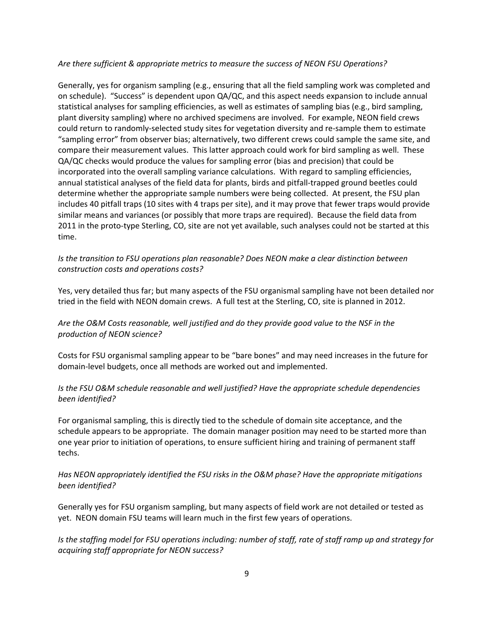## *Are there sufficient & appropriate metrics to measure the success of NEON FSU Operations?*

Generally, yes for organism sampling (e.g., ensuring that all the field sampling work was completed and on schedule). "Success" is dependent upon QA/QC, and this aspect needs expansion to include annual statistical analyses for sampling efficiencies, as well as estimates of sampling bias (e.g., bird sampling, plant diversity sampling) where no archived specimens are involved. For example, NEON field crews could return to randomly-selected study sites for vegetation diversity and re-sample them to estimate "sampling error" from observer bias; alternatively, two different crews could sample the same site, and compare their measurement values. This latter approach could work for bird sampling as well. These QA/QC checks would produce the values for sampling error (bias and precision) that could be incorporated into the overall sampling variance calculations. With regard to sampling efficiencies, annual statistical analyses of the field data for plants, birds and pitfall-trapped ground beetles could determine whether the appropriate sample numbers were being collected. At present, the FSU plan includes 40 pitfall traps (10 sites with 4 traps per site), and it may prove that fewer traps would provide similar means and variances (or possibly that more traps are required). Because the field data from 2011 in the proto-type Sterling, CO, site are not yet available, such analyses could not be started at this time.

# *Is the transition to FSU operations plan reasonable? Does NEON make a clear distinction between construction costs and operations costs?*

Yes, very detailed thus far; but many aspects of the FSU organismal sampling have not been detailed nor tried in the field with NEON domain crews. A full test at the Sterling, CO, site is planned in 2012.

# *Are the O&M Costs reasonable, well justified and do they provide good value to the NSF in the production of NEON science?*

Costs for FSU organismal sampling appear to be "bare bones" and may need increases in the future for domain-level budgets, once all methods are worked out and implemented.

# *Is the FSU O&M schedule reasonable and well justified? Have the appropriate schedule dependencies been identified?*

For organismal sampling, this is directly tied to the schedule of domain site acceptance, and the schedule appears to be appropriate. The domain manager position may need to be started more than one year prior to initiation of operations, to ensure sufficient hiring and training of permanent staff techs.

# *Has NEON appropriately identified the FSU risks in the O&M phase? Have the appropriate mitigations been identified?*

Generally yes for FSU organism sampling, but many aspects of field work are not detailed or tested as yet. NEON domain FSU teams will learn much in the first few years of operations.

*Is the staffing model for FSU operations including: number of staff, rate of staff ramp up and strategy for acquiring staff appropriate for NEON success?*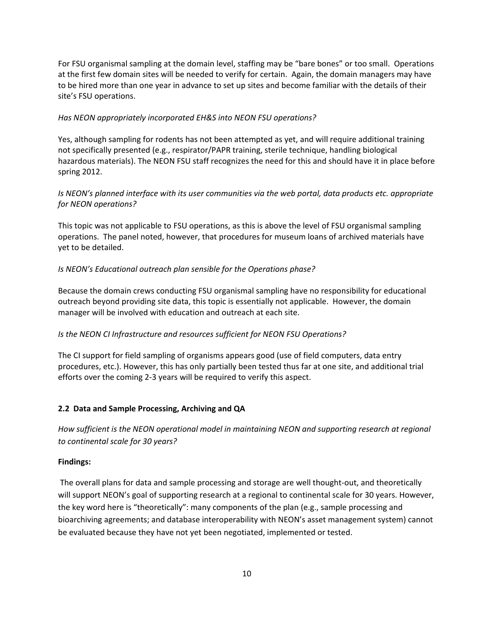For FSU organismal sampling at the domain level, staffing may be "bare bones" or too small. Operations at the first few domain sites will be needed to verify for certain. Again, the domain managers may have to be hired more than one year in advance to set up sites and become familiar with the details of their site's FSU operations.

# *Has NEON appropriately incorporated EH&S into NEON FSU operations?*

Yes, although sampling for rodents has not been attempted as yet, and will require additional training not specifically presented (e.g., respirator/PAPR training, sterile technique, handling biological hazardous materials). The NEON FSU staff recognizes the need for this and should have it in place before spring 2012.

# *Is NEON's planned interface with its user communities via the web portal, data products etc. appropriate for NEON operations?*

This topic was not applicable to FSU operations, as this is above the level of FSU organismal sampling operations. The panel noted, however, that procedures for museum loans of archived materials have yet to be detailed.

## *Is NEON's Educational outreach plan sensible for the Operations phase?*

Because the domain crews conducting FSU organismal sampling have no responsibility for educational outreach beyond providing site data, this topic is essentially not applicable. However, the domain manager will be involved with education and outreach at each site.

# *Is the NEON CI Infrastructure and resources sufficient for NEON FSU Operations?*

The CI support for field sampling of organisms appears good (use of field computers, data entry procedures, etc.). However, this has only partially been tested thus far at one site, and additional trial efforts over the coming 2-3 years will be required to verify this aspect.

#### **2.2 Data and Sample Processing, Archiving and QA**

*How sufficient is the NEON operational model in maintaining NEON and supporting research at regional to continental scale for 30 years?*

#### **Findings:**

The overall plans for data and sample processing and storage are well thought-out, and theoretically will support NEON's goal of supporting research at a regional to continental scale for 30 years. However, the key word here is "theoretically": many components of the plan (e.g., sample processing and bioarchiving agreements; and database interoperability with NEON's asset management system) cannot be evaluated because they have not yet been negotiated, implemented or tested.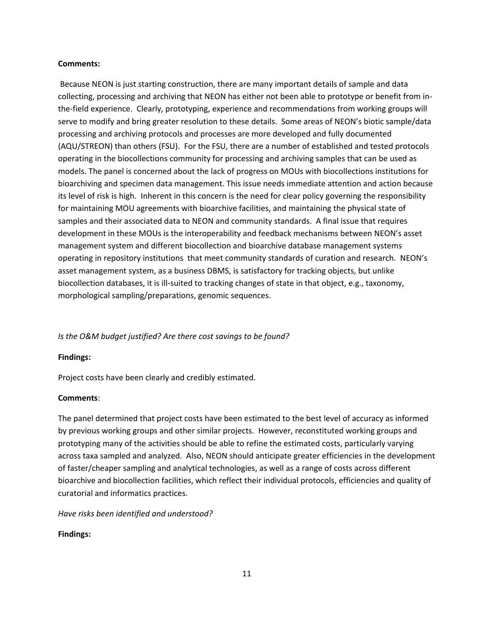#### **Comments:**

Because NEON is just starting construction, there are many important details of sample and data collecting, processing and archiving that NEON has either not been able to prototype or benefit from inthe-field experience. Clearly, prototyping, experience and recommendations from working groups will serve to modify and bring greater resolution to these details. Some areas of NEON's biotic sample/data processing and archiving protocols and processes are more developed and fully documented (AQU/STREON) than others (FSU). For the FSU, there are a number of established and tested protocols operating in the biocollections community for processing and archiving samples that can be used as models. The panel is concerned about the lack of progress on MOUs with biocollections institutions for bioarchiving and specimen data management. This issue needs immediate attention and action because its level of risk is high. Inherent in this concern is the need for clear policy governing the responsibility for maintaining MOU agreements with bioarchive facilities, and maintaining the physical state of samples and their associated data to NEON and community standards. A final issue that requires development in these MOUs is the interoperability and feedback mechanisms between NEON's asset management system and different biocollection and bioarchive database management systems operating in repository institutions that meet community standards of curation and research. NEON's asset management system, as a business DBMS, is satisfactory for tracking objects, but unlike biocollection databases, it is ill-suited to tracking changes of state in that object, e.g., taxonomy, morphological sampling/preparations, genomic sequences.

# *Is the O&M budget justified? Are there cost savings to be found?*

#### **Findings:**

Project costs have been clearly and credibly estimated.

## **Comments**:

The panel determined that project costs have been estimated to the best level of accuracy as informed by previous working groups and other similar projects. However, reconstituted working groups and prototyping many of the activities should be able to refine the estimated costs, particularly varying across taxa sampled and analyzed. Also, NEON should anticipate greater efficiencies in the development of faster/cheaper sampling and analytical technologies, as well as a range of costs across different bioarchive and biocollection facilities, which reflect their individual protocols, efficiencies and quality of curatorial and informatics practices.

*Have risks been identified and understood?*

# **Findings:**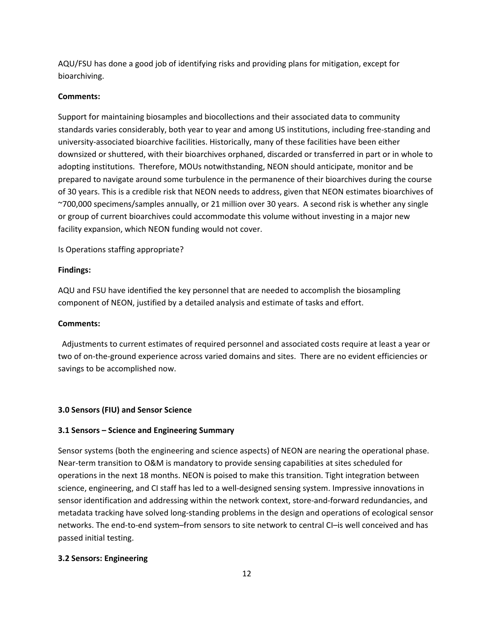AQU/FSU has done a good job of identifying risks and providing plans for mitigation, except for bioarchiving.

# **Comments:**

Support for maintaining biosamples and biocollections and their associated data to community standards varies considerably, both year to year and among US institutions, including free-standing and university-associated bioarchive facilities. Historically, many of these facilities have been either downsized or shuttered, with their bioarchives orphaned, discarded or transferred in part or in whole to adopting institutions. Therefore, MOUs notwithstanding, NEON should anticipate, monitor and be prepared to navigate around some turbulence in the permanence of their bioarchives during the course of 30 years. This is a credible risk that NEON needs to address, given that NEON estimates bioarchives of ~700,000 specimens/samples annually, or 21 million over 30 years. A second risk is whether any single or group of current bioarchives could accommodate this volume without investing in a major new facility expansion, which NEON funding would not cover.

Is Operations staffing appropriate?

## **Findings:**

AQU and FSU have identified the key personnel that are needed to accomplish the biosampling component of NEON, justified by a detailed analysis and estimate of tasks and effort.

## **Comments:**

 Adjustments to current estimates of required personnel and associated costs require at least a year or two of on-the-ground experience across varied domains and sites. There are no evident efficiencies or savings to be accomplished now.

#### **3.0 Sensors (FIU) and Sensor Science**

## **3.1 Sensors – Science and Engineering Summary**

Sensor systems (both the engineering and science aspects) of NEON are nearing the operational phase. Near-term transition to O&M is mandatory to provide sensing capabilities at sites scheduled for operations in the next 18 months. NEON is poised to make this transition. Tight integration between science, engineering, and CI staff has led to a well-designed sensing system. Impressive innovations in sensor identification and addressing within the network context, store-and-forward redundancies, and metadata tracking have solved long-standing problems in the design and operations of ecological sensor networks. The end-to-end system–from sensors to site network to central CI–is well conceived and has passed initial testing.

#### **3.2 Sensors: Engineering**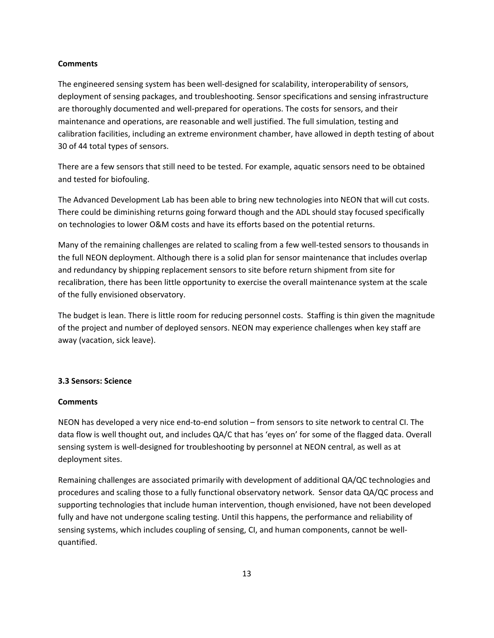#### **Comments**

The engineered sensing system has been well-designed for scalability, interoperability of sensors, deployment of sensing packages, and troubleshooting. Sensor specifications and sensing infrastructure are thoroughly documented and well-prepared for operations. The costs for sensors, and their maintenance and operations, are reasonable and well justified. The full simulation, testing and calibration facilities, including an extreme environment chamber, have allowed in depth testing of about 30 of 44 total types of sensors.

There are a few sensors that still need to be tested. For example, aquatic sensors need to be obtained and tested for biofouling.

The Advanced Development Lab has been able to bring new technologies into NEON that will cut costs. There could be diminishing returns going forward though and the ADL should stay focused specifically on technologies to lower O&M costs and have its efforts based on the potential returns.

Many of the remaining challenges are related to scaling from a few well-tested sensors to thousands in the full NEON deployment. Although there is a solid plan for sensor maintenance that includes overlap and redundancy by shipping replacement sensors to site before return shipment from site for recalibration, there has been little opportunity to exercise the overall maintenance system at the scale of the fully envisioned observatory.

The budget is lean. There is little room for reducing personnel costs. Staffing is thin given the magnitude of the project and number of deployed sensors. NEON may experience challenges when key staff are away (vacation, sick leave).

# **3.3 Sensors: Science**

#### **Comments**

NEON has developed a very nice end-to-end solution – from sensors to site network to central CI. The data flow is well thought out, and includes QA/C that has 'eyes on' for some of the flagged data. Overall sensing system is well-designed for troubleshooting by personnel at NEON central, as well as at deployment sites.

Remaining challenges are associated primarily with development of additional QA/QC technologies and procedures and scaling those to a fully functional observatory network. Sensor data QA/QC process and supporting technologies that include human intervention, though envisioned, have not been developed fully and have not undergone scaling testing. Until this happens, the performance and reliability of sensing systems, which includes coupling of sensing, CI, and human components, cannot be wellquantified.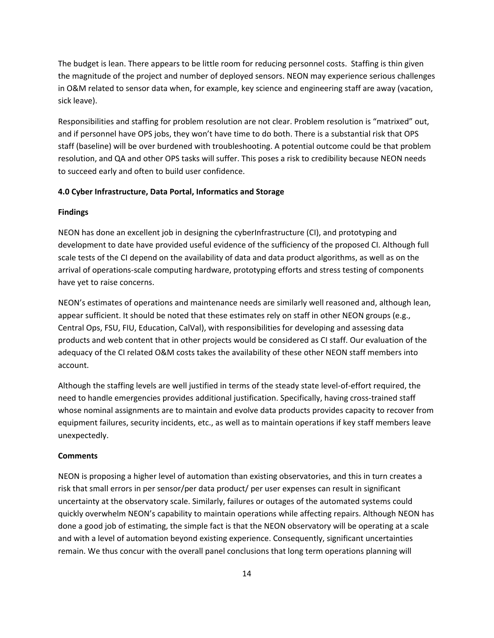The budget is lean. There appears to be little room for reducing personnel costs. Staffing is thin given the magnitude of the project and number of deployed sensors. NEON may experience serious challenges in O&M related to sensor data when, for example, key science and engineering staff are away (vacation, sick leave).

Responsibilities and staffing for problem resolution are not clear. Problem resolution is "matrixed" out, and if personnel have OPS jobs, they won't have time to do both. There is a substantial risk that OPS staff (baseline) will be over burdened with troubleshooting. A potential outcome could be that problem resolution, and QA and other OPS tasks will suffer. This poses a risk to credibility because NEON needs to succeed early and often to build user confidence.

## **4.0 Cyber Infrastructure, Data Portal, Informatics and Storage**

#### **Findings**

NEON has done an excellent job in designing the cyberInfrastructure (CI), and prototyping and development to date have provided useful evidence of the sufficiency of the proposed CI. Although full scale tests of the CI depend on the availability of data and data product algorithms, as well as on the arrival of operations-scale computing hardware, prototyping efforts and stress testing of components have yet to raise concerns.

NEON's estimates of operations and maintenance needs are similarly well reasoned and, although lean, appear sufficient. It should be noted that these estimates rely on staff in other NEON groups (e.g., Central Ops, FSU, FIU, Education, CalVal), with responsibilities for developing and assessing data products and web content that in other projects would be considered as CI staff. Our evaluation of the adequacy of the CI related O&M costs takes the availability of these other NEON staff members into account.

Although the staffing levels are well justified in terms of the steady state level-of-effort required, the need to handle emergencies provides additional justification. Specifically, having cross-trained staff whose nominal assignments are to maintain and evolve data products provides capacity to recover from equipment failures, security incidents, etc., as well as to maintain operations if key staff members leave unexpectedly.

## **Comments**

NEON is proposing a higher level of automation than existing observatories, and this in turn creates a risk that small errors in per sensor/per data product/ per user expenses can result in significant uncertainty at the observatory scale. Similarly, failures or outages of the automated systems could quickly overwhelm NEON's capability to maintain operations while affecting repairs. Although NEON has done a good job of estimating, the simple fact is that the NEON observatory will be operating at a scale and with a level of automation beyond existing experience. Consequently, significant uncertainties remain. We thus concur with the overall panel conclusions that long term operations planning will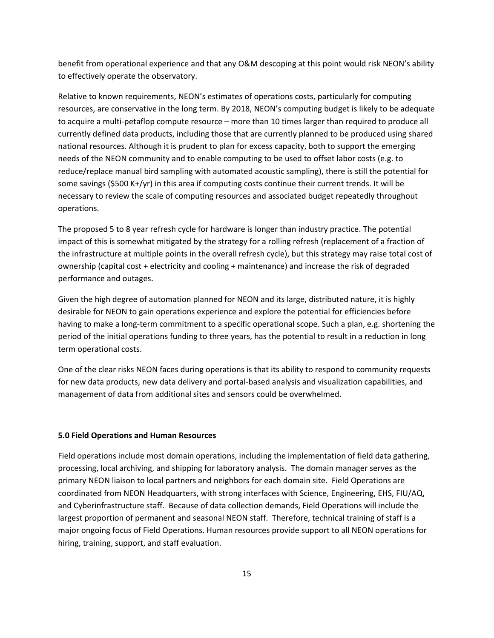benefit from operational experience and that any O&M descoping at this point would risk NEON's ability to effectively operate the observatory.

Relative to known requirements, NEON's estimates of operations costs, particularly for computing resources, are conservative in the long term. By 2018, NEON's computing budget is likely to be adequate to acquire a multi-petaflop compute resource – more than 10 times larger than required to produce all currently defined data products, including those that are currently planned to be produced using shared national resources. Although it is prudent to plan for excess capacity, both to support the emerging needs of the NEON community and to enable computing to be used to offset labor costs (e.g. to reduce/replace manual bird sampling with automated acoustic sampling), there is still the potential for some savings (\$500 K+/yr) in this area if computing costs continue their current trends. It will be necessary to review the scale of computing resources and associated budget repeatedly throughout operations.

The proposed 5 to 8 year refresh cycle for hardware is longer than industry practice. The potential impact of this is somewhat mitigated by the strategy for a rolling refresh (replacement of a fraction of the infrastructure at multiple points in the overall refresh cycle), but this strategy may raise total cost of ownership (capital cost + electricity and cooling + maintenance) and increase the risk of degraded performance and outages.

Given the high degree of automation planned for NEON and its large, distributed nature, it is highly desirable for NEON to gain operations experience and explore the potential for efficiencies before having to make a long-term commitment to a specific operational scope. Such a plan, e.g. shortening the period of the initial operations funding to three years, has the potential to result in a reduction in long term operational costs.

One of the clear risks NEON faces during operations is that its ability to respond to community requests for new data products, new data delivery and portal-based analysis and visualization capabilities, and management of data from additional sites and sensors could be overwhelmed.

#### **5.0 Field Operations and Human Resources**

Field operations include most domain operations, including the implementation of field data gathering, processing, local archiving, and shipping for laboratory analysis. The domain manager serves as the primary NEON liaison to local partners and neighbors for each domain site. Field Operations are coordinated from NEON Headquarters, with strong interfaces with Science, Engineering, EHS, FIU/AQ, and Cyberinfrastructure staff. Because of data collection demands, Field Operations will include the largest proportion of permanent and seasonal NEON staff. Therefore, technical training of staff is a major ongoing focus of Field Operations. Human resources provide support to all NEON operations for hiring, training, support, and staff evaluation.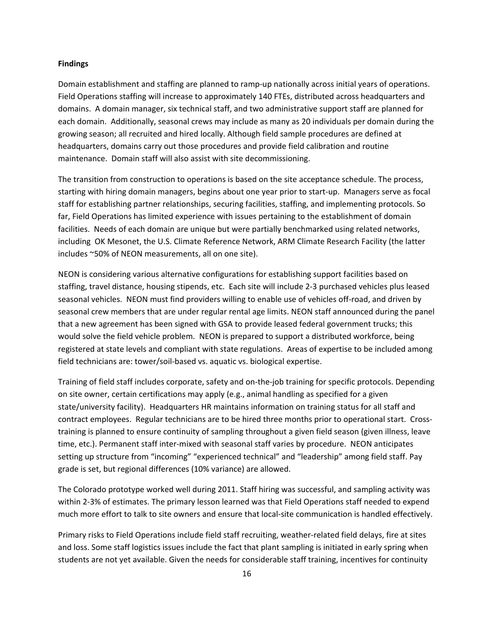#### **Findings**

Domain establishment and staffing are planned to ramp-up nationally across initial years of operations. Field Operations staffing will increase to approximately 140 FTEs, distributed across headquarters and domains. A domain manager, six technical staff, and two administrative support staff are planned for each domain. Additionally, seasonal crews may include as many as 20 individuals per domain during the growing season; all recruited and hired locally. Although field sample procedures are defined at headquarters, domains carry out those procedures and provide field calibration and routine maintenance. Domain staff will also assist with site decommissioning.

The transition from construction to operations is based on the site acceptance schedule. The process, starting with hiring domain managers, begins about one year prior to start-up. Managers serve as focal staff for establishing partner relationships, securing facilities, staffing, and implementing protocols. So far, Field Operations has limited experience with issues pertaining to the establishment of domain facilities. Needs of each domain are unique but were partially benchmarked using related networks, including OK Mesonet, the U.S. Climate Reference Network, ARM Climate Research Facility (the latter includes ~50% of NEON measurements, all on one site).

NEON is considering various alternative configurations for establishing support facilities based on staffing, travel distance, housing stipends, etc. Each site will include 2-3 purchased vehicles plus leased seasonal vehicles. NEON must find providers willing to enable use of vehicles off-road, and driven by seasonal crew members that are under regular rental age limits. NEON staff announced during the panel that a new agreement has been signed with GSA to provide leased federal government trucks; this would solve the field vehicle problem. NEON is prepared to support a distributed workforce, being registered at state levels and compliant with state regulations. Areas of expertise to be included among field technicians are: tower/soil-based vs. aquatic vs. biological expertise.

Training of field staff includes corporate, safety and on-the-job training for specific protocols. Depending on site owner, certain certifications may apply (e.g., animal handling as specified for a given state/university facility). Headquarters HR maintains information on training status for all staff and contract employees. Regular technicians are to be hired three months prior to operational start. Crosstraining is planned to ensure continuity of sampling throughout a given field season (given illness, leave time, etc.). Permanent staff inter-mixed with seasonal staff varies by procedure. NEON anticipates setting up structure from "incoming" "experienced technical" and "leadership" among field staff. Pay grade is set, but regional differences (10% variance) are allowed.

The Colorado prototype worked well during 2011. Staff hiring was successful, and sampling activity was within 2-3% of estimates. The primary lesson learned was that Field Operations staff needed to expend much more effort to talk to site owners and ensure that local-site communication is handled effectively.

Primary risks to Field Operations include field staff recruiting, weather-related field delays, fire at sites and loss. Some staff logistics issues include the fact that plant sampling is initiated in early spring when students are not yet available. Given the needs for considerable staff training, incentives for continuity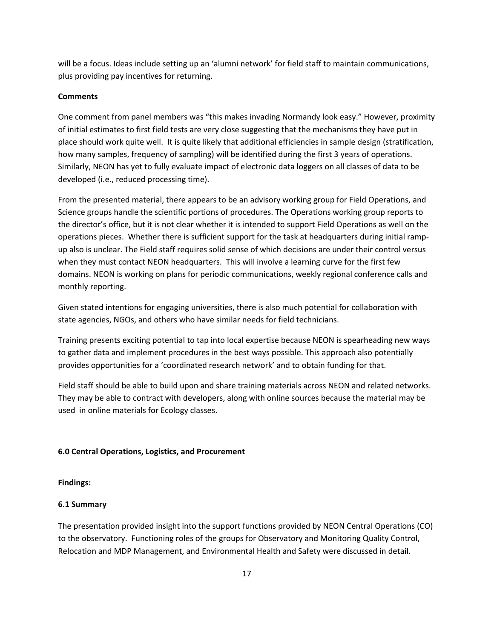will be a focus. Ideas include setting up an 'alumni network' for field staff to maintain communications, plus providing pay incentives for returning.

## **Comments**

One comment from panel members was "this makes invading Normandy look easy." However, proximity of initial estimates to first field tests are very close suggesting that the mechanisms they have put in place should work quite well. It is quite likely that additional efficiencies in sample design (stratification, how many samples, frequency of sampling) will be identified during the first 3 years of operations. Similarly, NEON has yet to fully evaluate impact of electronic data loggers on all classes of data to be developed (i.e., reduced processing time).

From the presented material, there appears to be an advisory working group for Field Operations, and Science groups handle the scientific portions of procedures. The Operations working group reports to the director's office, but it is not clear whether it is intended to support Field Operations as well on the operations pieces. Whether there is sufficient support for the task at headquarters during initial rampup also is unclear. The Field staff requires solid sense of which decisions are under their control versus when they must contact NEON headquarters. This will involve a learning curve for the first few domains. NEON is working on plans for periodic communications, weekly regional conference calls and monthly reporting.

Given stated intentions for engaging universities, there is also much potential for collaboration with state agencies, NGOs, and others who have similar needs for field technicians.

Training presents exciting potential to tap into local expertise because NEON is spearheading new ways to gather data and implement procedures in the best ways possible. This approach also potentially provides opportunities for a 'coordinated research network' and to obtain funding for that.

Field staff should be able to build upon and share training materials across NEON and related networks. They may be able to contract with developers, along with online sources because the material may be used in online materials for Ecology classes.

# **6.0 Central Operations, Logistics, and Procurement**

## **Findings:**

# **6.1 Summary**

The presentation provided insight into the support functions provided by NEON Central Operations (CO) to the observatory. Functioning roles of the groups for Observatory and Monitoring Quality Control, Relocation and MDP Management, and Environmental Health and Safety were discussed in detail.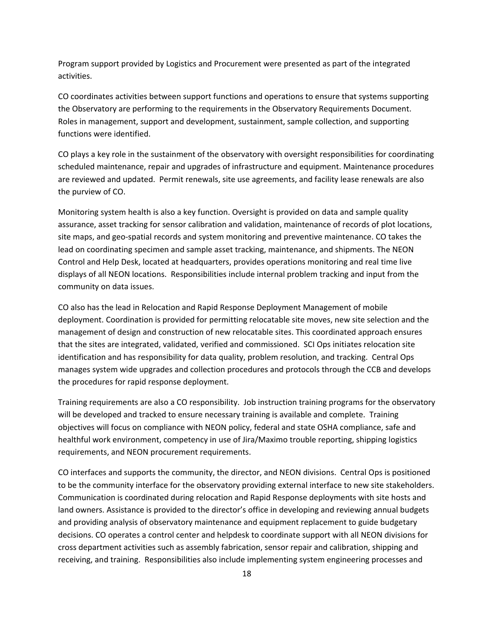Program support provided by Logistics and Procurement were presented as part of the integrated activities.

CO coordinates activities between support functions and operations to ensure that systems supporting the Observatory are performing to the requirements in the Observatory Requirements Document. Roles in management, support and development, sustainment, sample collection, and supporting functions were identified.

CO plays a key role in the sustainment of the observatory with oversight responsibilities for coordinating scheduled maintenance, repair and upgrades of infrastructure and equipment. Maintenance procedures are reviewed and updated. Permit renewals, site use agreements, and facility lease renewals are also the purview of CO.

Monitoring system health is also a key function. Oversight is provided on data and sample quality assurance, asset tracking for sensor calibration and validation, maintenance of records of plot locations, site maps, and geo-spatial records and system monitoring and preventive maintenance. CO takes the lead on coordinating specimen and sample asset tracking, maintenance, and shipments. The NEON Control and Help Desk, located at headquarters, provides operations monitoring and real time live displays of all NEON locations. Responsibilities include internal problem tracking and input from the community on data issues.

CO also has the lead in Relocation and Rapid Response Deployment Management of mobile deployment. Coordination is provided for permitting relocatable site moves, new site selection and the management of design and construction of new relocatable sites. This coordinated approach ensures that the sites are integrated, validated, verified and commissioned. SCI Ops initiates relocation site identification and has responsibility for data quality, problem resolution, and tracking. Central Ops manages system wide upgrades and collection procedures and protocols through the CCB and develops the procedures for rapid response deployment.

Training requirements are also a CO responsibility. Job instruction training programs for the observatory will be developed and tracked to ensure necessary training is available and complete. Training objectives will focus on compliance with NEON policy, federal and state OSHA compliance, safe and healthful work environment, competency in use of Jira/Maximo trouble reporting, shipping logistics requirements, and NEON procurement requirements.

CO interfaces and supports the community, the director, and NEON divisions. Central Ops is positioned to be the community interface for the observatory providing external interface to new site stakeholders. Communication is coordinated during relocation and Rapid Response deployments with site hosts and land owners. Assistance is provided to the director's office in developing and reviewing annual budgets and providing analysis of observatory maintenance and equipment replacement to guide budgetary decisions. CO operates a control center and helpdesk to coordinate support with all NEON divisions for cross department activities such as assembly fabrication, sensor repair and calibration, shipping and receiving, and training. Responsibilities also include implementing system engineering processes and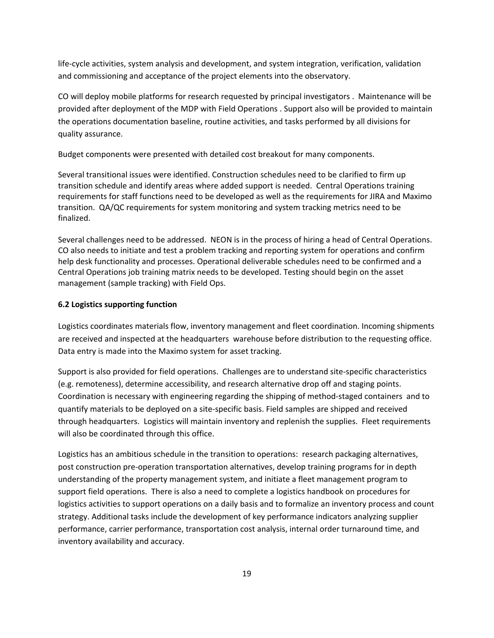life-cycle activities, system analysis and development, and system integration, verification, validation and commissioning and acceptance of the project elements into the observatory.

CO will deploy mobile platforms for research requested by principal investigators . Maintenance will be provided after deployment of the MDP with Field Operations . Support also will be provided to maintain the operations documentation baseline, routine activities, and tasks performed by all divisions for quality assurance.

Budget components were presented with detailed cost breakout for many components.

Several transitional issues were identified. Construction schedules need to be clarified to firm up transition schedule and identify areas where added support is needed. Central Operations training requirements for staff functions need to be developed as well as the requirements for JIRA and Maximo transition. QA/QC requirements for system monitoring and system tracking metrics need to be finalized.

Several challenges need to be addressed. NEON is in the process of hiring a head of Central Operations. CO also needs to initiate and test a problem tracking and reporting system for operations and confirm help desk functionality and processes. Operational deliverable schedules need to be confirmed and a Central Operations job training matrix needs to be developed. Testing should begin on the asset management (sample tracking) with Field Ops.

## **6.2 Logistics supporting function**

Logistics coordinates materials flow, inventory management and fleet coordination. Incoming shipments are received and inspected at the headquarters warehouse before distribution to the requesting office. Data entry is made into the Maximo system for asset tracking.

Support is also provided for field operations. Challenges are to understand site-specific characteristics (e.g. remoteness), determine accessibility, and research alternative drop off and staging points. Coordination is necessary with engineering regarding the shipping of method-staged containers and to quantify materials to be deployed on a site-specific basis. Field samples are shipped and received through headquarters. Logistics will maintain inventory and replenish the supplies. Fleet requirements will also be coordinated through this office.

Logistics has an ambitious schedule in the transition to operations: research packaging alternatives, post construction pre-operation transportation alternatives, develop training programs for in depth understanding of the property management system, and initiate a fleet management program to support field operations. There is also a need to complete a logistics handbook on procedures for logistics activities to support operations on a daily basis and to formalize an inventory process and count strategy. Additional tasks include the development of key performance indicators analyzing supplier performance, carrier performance, transportation cost analysis, internal order turnaround time, and inventory availability and accuracy.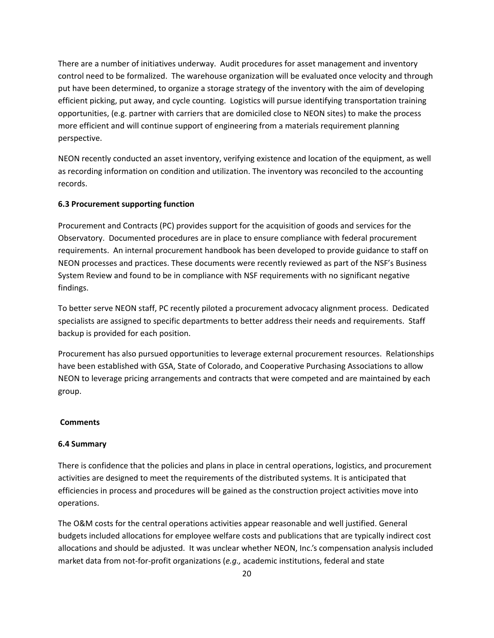There are a number of initiatives underway. Audit procedures for asset management and inventory control need to be formalized. The warehouse organization will be evaluated once velocity and through put have been determined, to organize a storage strategy of the inventory with the aim of developing efficient picking, put away, and cycle counting. Logistics will pursue identifying transportation training opportunities, (e.g. partner with carriers that are domiciled close to NEON sites) to make the process more efficient and will continue support of engineering from a materials requirement planning perspective.

NEON recently conducted an asset inventory, verifying existence and location of the equipment, as well as recording information on condition and utilization. The inventory was reconciled to the accounting records.

# **6.3 Procurement supporting function**

Procurement and Contracts (PC) provides support for the acquisition of goods and services for the Observatory. Documented procedures are in place to ensure compliance with federal procurement requirements. An internal procurement handbook has been developed to provide guidance to staff on NEON processes and practices. These documents were recently reviewed as part of the NSF's Business System Review and found to be in compliance with NSF requirements with no significant negative findings.

To better serve NEON staff, PC recently piloted a procurement advocacy alignment process. Dedicated specialists are assigned to specific departments to better address their needs and requirements. Staff backup is provided for each position.

Procurement has also pursued opportunities to leverage external procurement resources. Relationships have been established with GSA, State of Colorado, and Cooperative Purchasing Associations to allow NEON to leverage pricing arrangements and contracts that were competed and are maintained by each group.

#### **Comments**

#### **6.4 Summary**

There is confidence that the policies and plans in place in central operations, logistics, and procurement activities are designed to meet the requirements of the distributed systems. It is anticipated that efficiencies in process and procedures will be gained as the construction project activities move into operations.

The O&M costs for the central operations activities appear reasonable and well justified. General budgets included allocations for employee welfare costs and publications that are typically indirect cost allocations and should be adjusted. It was unclear whether NEON, Inc.'s compensation analysis included market data from not-for-profit organizations (*e.g.,* academic institutions, federal and state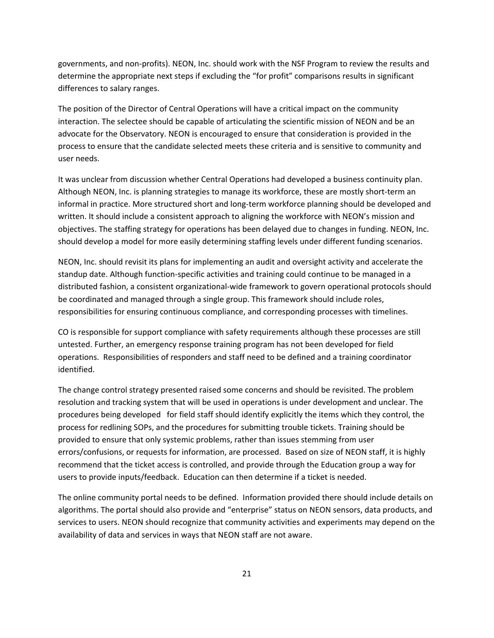governments, and non-profits). NEON, Inc. should work with the NSF Program to review the results and determine the appropriate next steps if excluding the "for profit" comparisons results in significant differences to salary ranges.

The position of the Director of Central Operations will have a critical impact on the community interaction. The selectee should be capable of articulating the scientific mission of NEON and be an advocate for the Observatory. NEON is encouraged to ensure that consideration is provided in the process to ensure that the candidate selected meets these criteria and is sensitive to community and user needs.

It was unclear from discussion whether Central Operations had developed a business continuity plan. Although NEON, Inc. is planning strategies to manage its workforce, these are mostly short-term an informal in practice. More structured short and long-term workforce planning should be developed and written. It should include a consistent approach to aligning the workforce with NEON's mission and objectives. The staffing strategy for operations has been delayed due to changes in funding. NEON, Inc. should develop a model for more easily determining staffing levels under different funding scenarios.

NEON, Inc. should revisit its plans for implementing an audit and oversight activity and accelerate the standup date. Although function-specific activities and training could continue to be managed in a distributed fashion, a consistent organizational-wide framework to govern operational protocols should be coordinated and managed through a single group. This framework should include roles, responsibilities for ensuring continuous compliance, and corresponding processes with timelines.

CO is responsible for support compliance with safety requirements although these processes are still untested. Further, an emergency response training program has not been developed for field operations. Responsibilities of responders and staff need to be defined and a training coordinator identified.

The change control strategy presented raised some concerns and should be revisited. The problem resolution and tracking system that will be used in operations is under development and unclear. The procedures being developed for field staff should identify explicitly the items which they control, the process for redlining SOPs, and the procedures for submitting trouble tickets. Training should be provided to ensure that only systemic problems, rather than issues stemming from user errors/confusions, or requests for information, are processed. Based on size of NEON staff, it is highly recommend that the ticket access is controlled, and provide through the Education group a way for users to provide inputs/feedback. Education can then determine if a ticket is needed.

The online community portal needs to be defined. Information provided there should include details on algorithms. The portal should also provide and "enterprise" status on NEON sensors, data products, and services to users. NEON should recognize that community activities and experiments may depend on the availability of data and services in ways that NEON staff are not aware.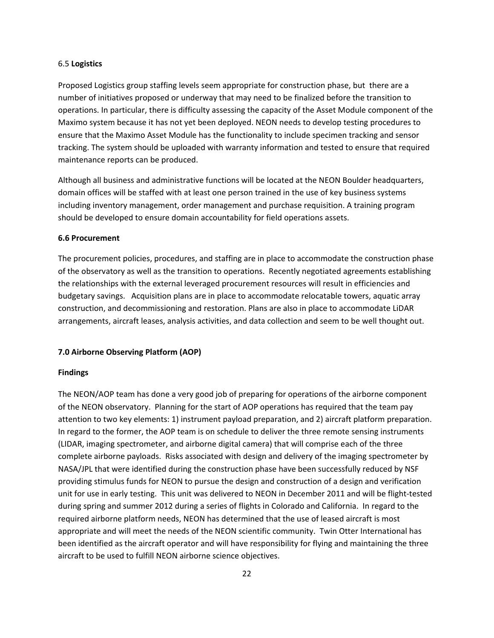#### 6.5 **Logistics**

Proposed Logistics group staffing levels seem appropriate for construction phase, but there are a number of initiatives proposed or underway that may need to be finalized before the transition to operations. In particular, there is difficulty assessing the capacity of the Asset Module component of the Maximo system because it has not yet been deployed. NEON needs to develop testing procedures to ensure that the Maximo Asset Module has the functionality to include specimen tracking and sensor tracking. The system should be uploaded with warranty information and tested to ensure that required maintenance reports can be produced.

Although all business and administrative functions will be located at the NEON Boulder headquarters, domain offices will be staffed with at least one person trained in the use of key business systems including inventory management, order management and purchase requisition. A training program should be developed to ensure domain accountability for field operations assets.

#### **6.6 Procurement**

The procurement policies, procedures, and staffing are in place to accommodate the construction phase of the observatory as well as the transition to operations. Recently negotiated agreements establishing the relationships with the external leveraged procurement resources will result in efficiencies and budgetary savings. Acquisition plans are in place to accommodate relocatable towers, aquatic array construction, and decommissioning and restoration. Plans are also in place to accommodate LiDAR arrangements, aircraft leases, analysis activities, and data collection and seem to be well thought out.

# **7.0 Airborne Observing Platform (AOP)**

#### **Findings**

The NEON/AOP team has done a very good job of preparing for operations of the airborne component of the NEON observatory. Planning for the start of AOP operations has required that the team pay attention to two key elements: 1) instrument payload preparation, and 2) aircraft platform preparation. In regard to the former, the AOP team is on schedule to deliver the three remote sensing instruments (LIDAR, imaging spectrometer, and airborne digital camera) that will comprise each of the three complete airborne payloads. Risks associated with design and delivery of the imaging spectrometer by NASA/JPL that were identified during the construction phase have been successfully reduced by NSF providing stimulus funds for NEON to pursue the design and construction of a design and verification unit for use in early testing. This unit was delivered to NEON in December 2011 and will be flight-tested during spring and summer 2012 during a series of flights in Colorado and California. In regard to the required airborne platform needs, NEON has determined that the use of leased aircraft is most appropriate and will meet the needs of the NEON scientific community. Twin Otter International has been identified as the aircraft operator and will have responsibility for flying and maintaining the three aircraft to be used to fulfill NEON airborne science objectives.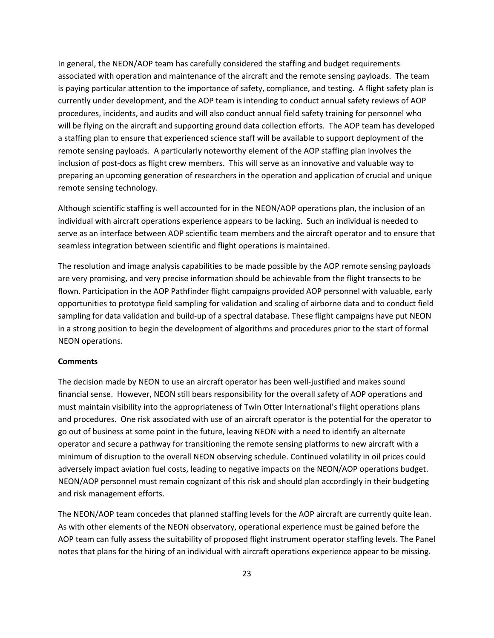In general, the NEON/AOP team has carefully considered the staffing and budget requirements associated with operation and maintenance of the aircraft and the remote sensing payloads. The team is paying particular attention to the importance of safety, compliance, and testing. A flight safety plan is currently under development, and the AOP team is intending to conduct annual safety reviews of AOP procedures, incidents, and audits and will also conduct annual field safety training for personnel who will be flying on the aircraft and supporting ground data collection efforts. The AOP team has developed a staffing plan to ensure that experienced science staff will be available to support deployment of the remote sensing payloads. A particularly noteworthy element of the AOP staffing plan involves the inclusion of post-docs as flight crew members. This will serve as an innovative and valuable way to preparing an upcoming generation of researchers in the operation and application of crucial and unique remote sensing technology.

Although scientific staffing is well accounted for in the NEON/AOP operations plan, the inclusion of an individual with aircraft operations experience appears to be lacking. Such an individual is needed to serve as an interface between AOP scientific team members and the aircraft operator and to ensure that seamless integration between scientific and flight operations is maintained.

The resolution and image analysis capabilities to be made possible by the AOP remote sensing payloads are very promising, and very precise information should be achievable from the flight transects to be flown. Participation in the AOP Pathfinder flight campaigns provided AOP personnel with valuable, early opportunities to prototype field sampling for validation and scaling of airborne data and to conduct field sampling for data validation and build-up of a spectral database. These flight campaigns have put NEON in a strong position to begin the development of algorithms and procedures prior to the start of formal NEON operations.

#### **Comments**

The decision made by NEON to use an aircraft operator has been well-justified and makes sound financial sense. However, NEON still bears responsibility for the overall safety of AOP operations and must maintain visibility into the appropriateness of Twin Otter International's flight operations plans and procedures. One risk associated with use of an aircraft operator is the potential for the operator to go out of business at some point in the future, leaving NEON with a need to identify an alternate operator and secure a pathway for transitioning the remote sensing platforms to new aircraft with a minimum of disruption to the overall NEON observing schedule. Continued volatility in oil prices could adversely impact aviation fuel costs, leading to negative impacts on the NEON/AOP operations budget. NEON/AOP personnel must remain cognizant of this risk and should plan accordingly in their budgeting and risk management efforts.

The NEON/AOP team concedes that planned staffing levels for the AOP aircraft are currently quite lean. As with other elements of the NEON observatory, operational experience must be gained before the AOP team can fully assess the suitability of proposed flight instrument operator staffing levels. The Panel notes that plans for the hiring of an individual with aircraft operations experience appear to be missing.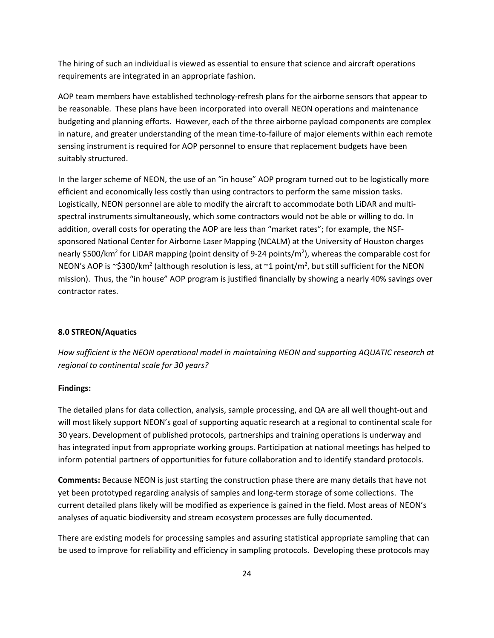The hiring of such an individual is viewed as essential to ensure that science and aircraft operations requirements are integrated in an appropriate fashion.

AOP team members have established technology-refresh plans for the airborne sensors that appear to be reasonable. These plans have been incorporated into overall NEON operations and maintenance budgeting and planning efforts. However, each of the three airborne payload components are complex in nature, and greater understanding of the mean time-to-failure of major elements within each remote sensing instrument is required for AOP personnel to ensure that replacement budgets have been suitably structured.

In the larger scheme of NEON, the use of an "in house" AOP program turned out to be logistically more efficient and economically less costly than using contractors to perform the same mission tasks. Logistically, NEON personnel are able to modify the aircraft to accommodate both LiDAR and multispectral instruments simultaneously, which some contractors would not be able or willing to do. In addition, overall costs for operating the AOP are less than "market rates"; for example, the NSFsponsored National Center for Airborne Laser Mapping (NCALM) at the University of Houston charges nearly \$500/km<sup>2</sup> for LiDAR mapping (point density of 9-24 points/m<sup>2</sup>), whereas the comparable cost for NEON's AOP is ~\$300/km<sup>2</sup> (although resolution is less, at ~1 point/m<sup>2</sup>, but still sufficient for the NEON mission). Thus, the "in house" AOP program is justified financially by showing a nearly 40% savings over contractor rates.

# **8.0 STREON/Aquatics**

*How sufficient is the NEON operational model in maintaining NEON and supporting AQUATIC research at regional to continental scale for 30 years?*

#### **Findings:**

The detailed plans for data collection, analysis, sample processing, and QA are all well thought-out and will most likely support NEON's goal of supporting aquatic research at a regional to continental scale for 30 years. Development of published protocols, partnerships and training operations is underway and has integrated input from appropriate working groups. Participation at national meetings has helped to inform potential partners of opportunities for future collaboration and to identify standard protocols.

**Comments:** Because NEON is just starting the construction phase there are many details that have not yet been prototyped regarding analysis of samples and long-term storage of some collections. The current detailed plans likely will be modified as experience is gained in the field. Most areas of NEON's analyses of aquatic biodiversity and stream ecosystem processes are fully documented.

There are existing models for processing samples and assuring statistical appropriate sampling that can be used to improve for reliability and efficiency in sampling protocols. Developing these protocols may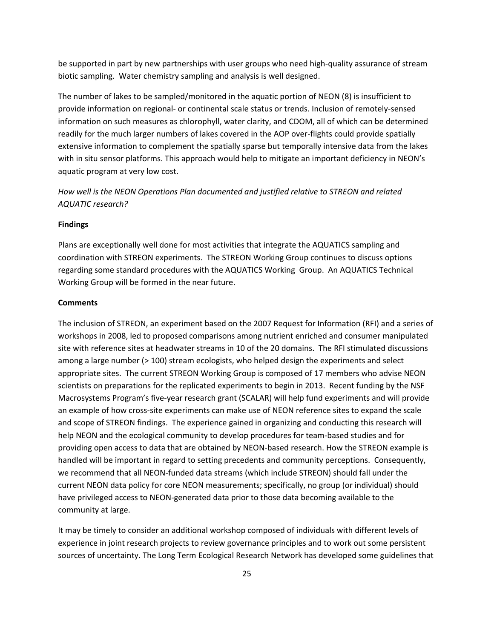be supported in part by new partnerships with user groups who need high-quality assurance of stream biotic sampling. Water chemistry sampling and analysis is well designed.

The number of lakes to be sampled/monitored in the aquatic portion of NEON (8) is insufficient to provide information on regional- or continental scale status or trends. Inclusion of remotely-sensed information on such measures as chlorophyll, water clarity, and CDOM, all of which can be determined readily for the much larger numbers of lakes covered in the AOP over-flights could provide spatially extensive information to complement the spatially sparse but temporally intensive data from the lakes with in situ sensor platforms. This approach would help to mitigate an important deficiency in NEON's aquatic program at very low cost.

*How well is the NEON Operations Plan documented and justified relative to STREON and related AQUATIC research?*

#### **Findings**

Plans are exceptionally well done for most activities that integrate the AQUATICS sampling and coordination with STREON experiments. The STREON Working Group continues to discuss options regarding some standard procedures with the AQUATICS Working Group. An AQUATICS Technical Working Group will be formed in the near future.

#### **Comments**

The inclusion of STREON, an experiment based on the 2007 Request for Information (RFI) and a series of workshops in 2008, led to proposed comparisons among nutrient enriched and consumer manipulated site with reference sites at headwater streams in 10 of the 20 domains. The RFI stimulated discussions among a large number (> 100) stream ecologists, who helped design the experiments and select appropriate sites. The current STREON Working Group is composed of 17 members who advise NEON scientists on preparations for the replicated experiments to begin in 2013. Recent funding by the NSF Macrosystems Program's five-year research grant (SCALAR) will help fund experiments and will provide an example of how cross-site experiments can make use of NEON reference sites to expand the scale and scope of STREON findings. The experience gained in organizing and conducting this research will help NEON and the ecological community to develop procedures for team-based studies and for providing open access to data that are obtained by NEON-based research. How the STREON example is handled will be important in regard to setting precedents and community perceptions. Consequently, we recommend that all NEON-funded data streams (which include STREON) should fall under the current NEON data policy for core NEON measurements; specifically, no group (or individual) should have privileged access to NEON-generated data prior to those data becoming available to the community at large.

It may be timely to consider an additional workshop composed of individuals with different levels of experience in joint research projects to review governance principles and to work out some persistent sources of uncertainty. The Long Term Ecological Research Network has developed some guidelines that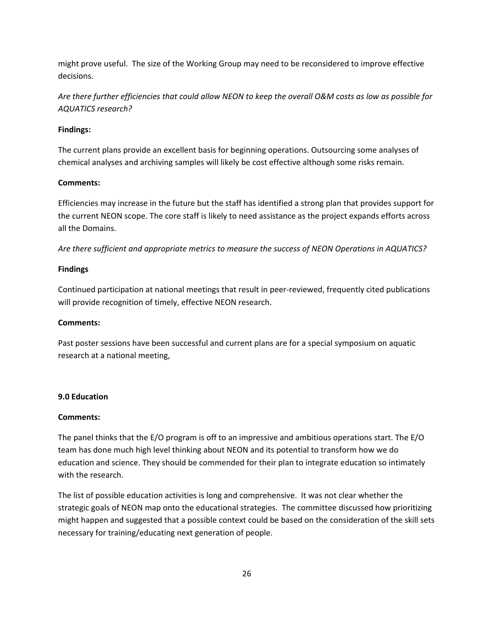might prove useful. The size of the Working Group may need to be reconsidered to improve effective decisions.

*Are there further efficiencies that could allow NEON to keep the overall O&M costs as low as possible for AQUATICS research?*

## **Findings:**

The current plans provide an excellent basis for beginning operations. Outsourcing some analyses of chemical analyses and archiving samples will likely be cost effective although some risks remain.

#### **Comments:**

Efficiencies may increase in the future but the staff has identified a strong plan that provides support for the current NEON scope. The core staff is likely to need assistance as the project expands efforts across all the Domains.

*Are there sufficient and appropriate metrics to measure the success of NEON Operations in AQUATICS?*

#### **Findings**

Continued participation at national meetings that result in peer-reviewed, frequently cited publications will provide recognition of timely, effective NEON research.

#### **Comments:**

Past poster sessions have been successful and current plans are for a special symposium on aquatic research at a national meeting,

# **9.0 Education**

#### **Comments:**

The panel thinks that the E/O program is off to an impressive and ambitious operations start. The E/O team has done much high level thinking about NEON and its potential to transform how we do education and science. They should be commended for their plan to integrate education so intimately with the research.

The list of possible education activities is long and comprehensive. It was not clear whether the strategic goals of NEON map onto the educational strategies. The committee discussed how prioritizing might happen and suggested that a possible context could be based on the consideration of the skill sets necessary for training/educating next generation of people.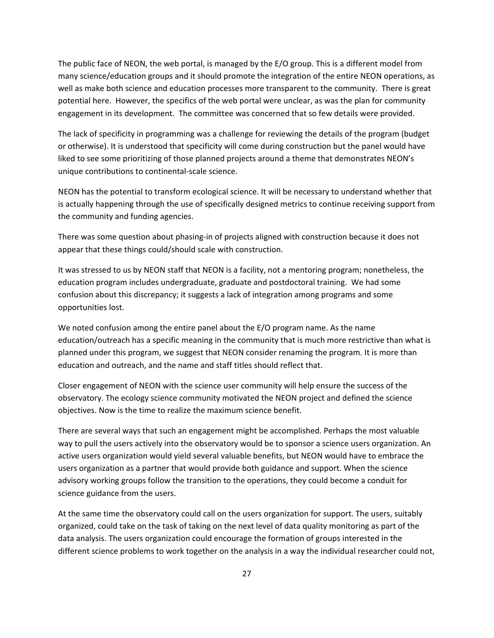The public face of NEON, the web portal, is managed by the E/O group. This is a different model from many science/education groups and it should promote the integration of the entire NEON operations, as well as make both science and education processes more transparent to the community. There is great potential here. However, the specifics of the web portal were unclear, as was the plan for community engagement in its development. The committee was concerned that so few details were provided.

The lack of specificity in programming was a challenge for reviewing the details of the program (budget or otherwise). It is understood that specificity will come during construction but the panel would have liked to see some prioritizing of those planned projects around a theme that demonstrates NEON's unique contributions to continental-scale science.

NEON has the potential to transform ecological science. It will be necessary to understand whether that is actually happening through the use of specifically designed metrics to continue receiving support from the community and funding agencies.

There was some question about phasing-in of projects aligned with construction because it does not appear that these things could/should scale with construction.

It was stressed to us by NEON staff that NEON is a facility, not a mentoring program; nonetheless, the education program includes undergraduate, graduate and postdoctoral training. We had some confusion about this discrepancy; it suggests a lack of integration among programs and some opportunities lost.

We noted confusion among the entire panel about the E/O program name. As the name education/outreach has a specific meaning in the community that is much more restrictive than what is planned under this program, we suggest that NEON consider renaming the program. It is more than education and outreach, and the name and staff titles should reflect that.

Closer engagement of NEON with the science user community will help ensure the success of the observatory. The ecology science community motivated the NEON project and defined the science objectives. Now is the time to realize the maximum science benefit.

There are several ways that such an engagement might be accomplished. Perhaps the most valuable way to pull the users actively into the observatory would be to sponsor a science users organization. An active users organization would yield several valuable benefits, but NEON would have to embrace the users organization as a partner that would provide both guidance and support. When the science advisory working groups follow the transition to the operations, they could become a conduit for science guidance from the users.

At the same time the observatory could call on the users organization for support. The users, suitably organized, could take on the task of taking on the next level of data quality monitoring as part of the data analysis. The users organization could encourage the formation of groups interested in the different science problems to work together on the analysis in a way the individual researcher could not,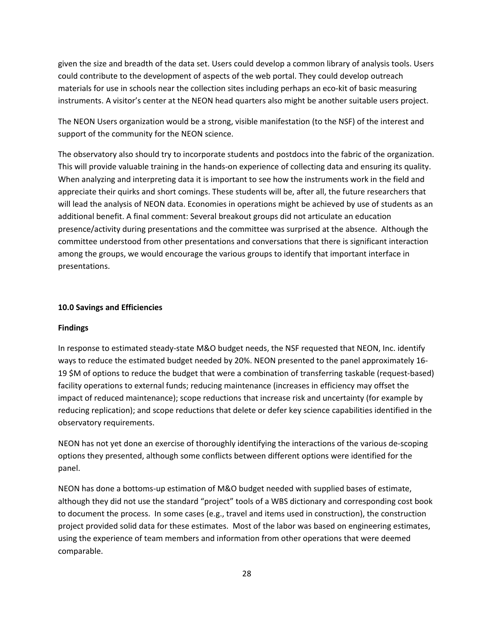given the size and breadth of the data set. Users could develop a common library of analysis tools. Users could contribute to the development of aspects of the web portal. They could develop outreach materials for use in schools near the collection sites including perhaps an eco-kit of basic measuring instruments. A visitor's center at the NEON head quarters also might be another suitable users project.

The NEON Users organization would be a strong, visible manifestation (to the NSF) of the interest and support of the community for the NEON science.

The observatory also should try to incorporate students and postdocs into the fabric of the organization. This will provide valuable training in the hands-on experience of collecting data and ensuring its quality. When analyzing and interpreting data it is important to see how the instruments work in the field and appreciate their quirks and short comings. These students will be, after all, the future researchers that will lead the analysis of NEON data. Economies in operations might be achieved by use of students as an additional benefit. A final comment: Several breakout groups did not articulate an education presence/activity during presentations and the committee was surprised at the absence. Although the committee understood from other presentations and conversations that there is significant interaction among the groups, we would encourage the various groups to identify that important interface in presentations.

# **10.0 Savings and Efficiencies**

## **Findings**

In response to estimated steady-state M&O budget needs, the NSF requested that NEON, Inc. identify ways to reduce the estimated budget needed by 20%. NEON presented to the panel approximately 16- 19 \$M of options to reduce the budget that were a combination of transferring taskable (request-based) facility operations to external funds; reducing maintenance (increases in efficiency may offset the impact of reduced maintenance); scope reductions that increase risk and uncertainty (for example by reducing replication); and scope reductions that delete or defer key science capabilities identified in the observatory requirements.

NEON has not yet done an exercise of thoroughly identifying the interactions of the various de-scoping options they presented, although some conflicts between different options were identified for the panel.

NEON has done a bottoms-up estimation of M&O budget needed with supplied bases of estimate, although they did not use the standard "project" tools of a WBS dictionary and corresponding cost book to document the process. In some cases (e.g., travel and items used in construction), the construction project provided solid data for these estimates. Most of the labor was based on engineering estimates, using the experience of team members and information from other operations that were deemed comparable.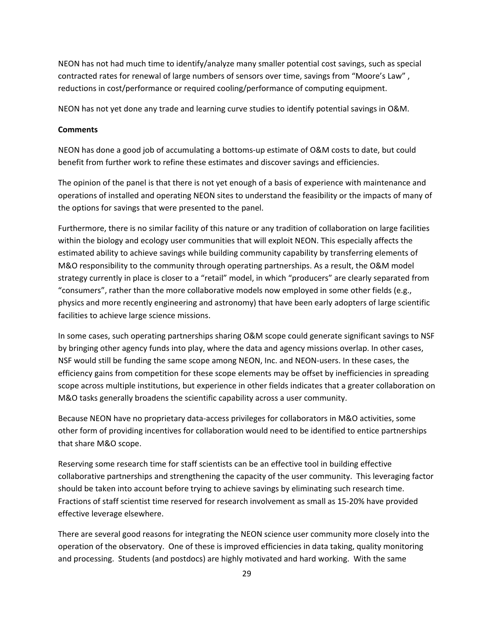NEON has not had much time to identify/analyze many smaller potential cost savings, such as special contracted rates for renewal of large numbers of sensors over time, savings from "Moore's Law" , reductions in cost/performance or required cooling/performance of computing equipment.

NEON has not yet done any trade and learning curve studies to identify potential savings in O&M.

## **Comments**

NEON has done a good job of accumulating a bottoms-up estimate of O&M costs to date, but could benefit from further work to refine these estimates and discover savings and efficiencies.

The opinion of the panel is that there is not yet enough of a basis of experience with maintenance and operations of installed and operating NEON sites to understand the feasibility or the impacts of many of the options for savings that were presented to the panel.

Furthermore, there is no similar facility of this nature or any tradition of collaboration on large facilities within the biology and ecology user communities that will exploit NEON. This especially affects the estimated ability to achieve savings while building community capability by transferring elements of M&O responsibility to the community through operating partnerships. As a result, the O&M model strategy currently in place is closer to a "retail" model, in which "producers" are clearly separated from "consumers", rather than the more collaborative models now employed in some other fields (e.g., physics and more recently engineering and astronomy) that have been early adopters of large scientific facilities to achieve large science missions.

In some cases, such operating partnerships sharing O&M scope could generate significant savings to NSF by bringing other agency funds into play, where the data and agency missions overlap. In other cases, NSF would still be funding the same scope among NEON, Inc. and NEON-users. In these cases, the efficiency gains from competition for these scope elements may be offset by inefficiencies in spreading scope across multiple institutions, but experience in other fields indicates that a greater collaboration on M&O tasks generally broadens the scientific capability across a user community.

Because NEON have no proprietary data-access privileges for collaborators in M&O activities, some other form of providing incentives for collaboration would need to be identified to entice partnerships that share M&O scope.

Reserving some research time for staff scientists can be an effective tool in building effective collaborative partnerships and strengthening the capacity of the user community. This leveraging factor should be taken into account before trying to achieve savings by eliminating such research time. Fractions of staff scientist time reserved for research involvement as small as 15-20% have provided effective leverage elsewhere.

There are several good reasons for integrating the NEON science user community more closely into the operation of the observatory. One of these is improved efficiencies in data taking, quality monitoring and processing. Students (and postdocs) are highly motivated and hard working. With the same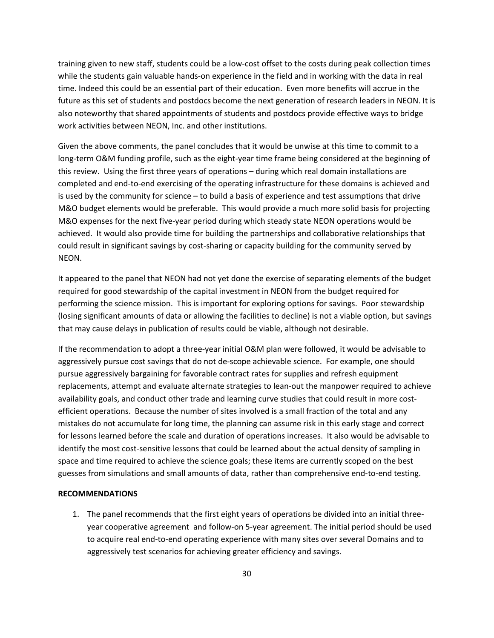training given to new staff, students could be a low-cost offset to the costs during peak collection times while the students gain valuable hands-on experience in the field and in working with the data in real time. Indeed this could be an essential part of their education. Even more benefits will accrue in the future as this set of students and postdocs become the next generation of research leaders in NEON. It is also noteworthy that shared appointments of students and postdocs provide effective ways to bridge work activities between NEON, Inc. and other institutions.

Given the above comments, the panel concludes that it would be unwise at this time to commit to a long-term O&M funding profile, such as the eight-year time frame being considered at the beginning of this review. Using the first three years of operations – during which real domain installations are completed and end-to-end exercising of the operating infrastructure for these domains is achieved and is used by the community for science – to build a basis of experience and test assumptions that drive M&O budget elements would be preferable. This would provide a much more solid basis for projecting M&O expenses for the next five-year period during which steady state NEON operations would be achieved. It would also provide time for building the partnerships and collaborative relationships that could result in significant savings by cost-sharing or capacity building for the community served by NEON.

It appeared to the panel that NEON had not yet done the exercise of separating elements of the budget required for good stewardship of the capital investment in NEON from the budget required for performing the science mission. This is important for exploring options for savings. Poor stewardship (losing significant amounts of data or allowing the facilities to decline) is not a viable option, but savings that may cause delays in publication of results could be viable, although not desirable.

If the recommendation to adopt a three-year initial O&M plan were followed, it would be advisable to aggressively pursue cost savings that do not de-scope achievable science. For example, one should pursue aggressively bargaining for favorable contract rates for supplies and refresh equipment replacements, attempt and evaluate alternate strategies to lean-out the manpower required to achieve availability goals, and conduct other trade and learning curve studies that could result in more costefficient operations. Because the number of sites involved is a small fraction of the total and any mistakes do not accumulate for long time, the planning can assume risk in this early stage and correct for lessons learned before the scale and duration of operations increases. It also would be advisable to identify the most cost-sensitive lessons that could be learned about the actual density of sampling in space and time required to achieve the science goals; these items are currently scoped on the best guesses from simulations and small amounts of data, rather than comprehensive end-to-end testing.

#### **RECOMMENDATIONS**

1. The panel recommends that the first eight years of operations be divided into an initial threeyear cooperative agreement and follow-on 5-year agreement. The initial period should be used to acquire real end-to-end operating experience with many sites over several Domains and to aggressively test scenarios for achieving greater efficiency and savings.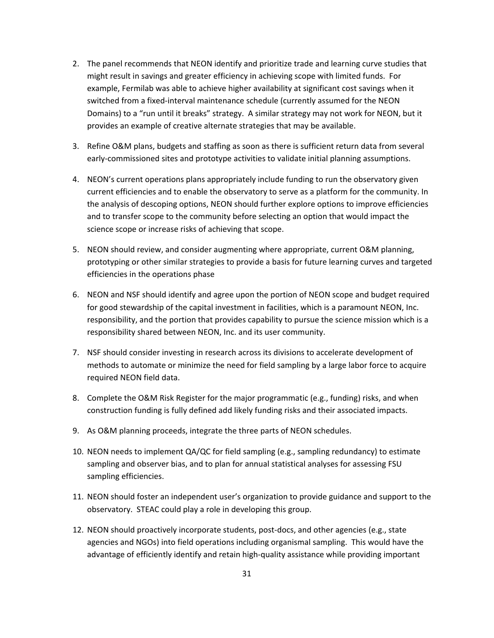- 2. The panel recommends that NEON identify and prioritize trade and learning curve studies that might result in savings and greater efficiency in achieving scope with limited funds. For example, Fermilab was able to achieve higher availability at significant cost savings when it switched from a fixed-interval maintenance schedule (currently assumed for the NEON Domains) to a "run until it breaks" strategy. A similar strategy may not work for NEON, but it provides an example of creative alternate strategies that may be available.
- 3. Refine O&M plans, budgets and staffing as soon as there is sufficient return data from several early-commissioned sites and prototype activities to validate initial planning assumptions.
- 4. NEON's current operations plans appropriately include funding to run the observatory given current efficiencies and to enable the observatory to serve as a platform for the community. In the analysis of descoping options, NEON should further explore options to improve efficiencies and to transfer scope to the community before selecting an option that would impact the science scope or increase risks of achieving that scope.
- 5. NEON should review, and consider augmenting where appropriate, current O&M planning, prototyping or other similar strategies to provide a basis for future learning curves and targeted efficiencies in the operations phase
- 6. NEON and NSF should identify and agree upon the portion of NEON scope and budget required for good stewardship of the capital investment in facilities, which is a paramount NEON, Inc. responsibility, and the portion that provides capability to pursue the science mission which is a responsibility shared between NEON, Inc. and its user community.
- 7. NSF should consider investing in research across its divisions to accelerate development of methods to automate or minimize the need for field sampling by a large labor force to acquire required NEON field data.
- 8. Complete the O&M Risk Register for the major programmatic (e.g., funding) risks, and when construction funding is fully defined add likely funding risks and their associated impacts.
- 9. As O&M planning proceeds, integrate the three parts of NEON schedules.
- 10. NEON needs to implement QA/QC for field sampling (e.g., sampling redundancy) to estimate sampling and observer bias, and to plan for annual statistical analyses for assessing FSU sampling efficiencies.
- 11. NEON should foster an independent user's organization to provide guidance and support to the observatory. STEAC could play a role in developing this group.
- 12. NEON should proactively incorporate students, post-docs, and other agencies (e.g., state agencies and NGOs) into field operations including organismal sampling. This would have the advantage of efficiently identify and retain high-quality assistance while providing important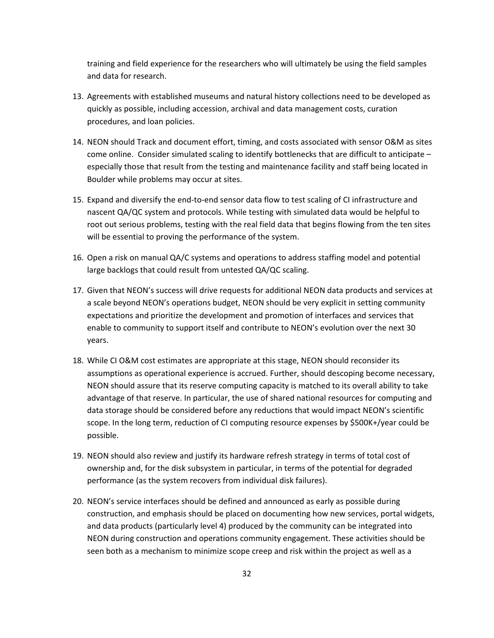training and field experience for the researchers who will ultimately be using the field samples and data for research.

- 13. Agreements with established museums and natural history collections need to be developed as quickly as possible, including accession, archival and data management costs, curation procedures, and loan policies.
- 14. NEON should Track and document effort, timing, and costs associated with sensor O&M as sites come online. Consider simulated scaling to identify bottlenecks that are difficult to anticipate – especially those that result from the testing and maintenance facility and staff being located in Boulder while problems may occur at sites.
- 15. Expand and diversify the end-to-end sensor data flow to test scaling of CI infrastructure and nascent QA/QC system and protocols. While testing with simulated data would be helpful to root out serious problems, testing with the real field data that begins flowing from the ten sites will be essential to proving the performance of the system.
- 16. Open a risk on manual QA/C systems and operations to address staffing model and potential large backlogs that could result from untested QA/QC scaling.
- 17. Given that NEON's success will drive requests for additional NEON data products and services at a scale beyond NEON's operations budget, NEON should be very explicit in setting community expectations and prioritize the development and promotion of interfaces and services that enable to community to support itself and contribute to NEON's evolution over the next 30 years.
- 18. While CI O&M cost estimates are appropriate at this stage, NEON should reconsider its assumptions as operational experience is accrued. Further, should descoping become necessary, NEON should assure that its reserve computing capacity is matched to its overall ability to take advantage of that reserve. In particular, the use of shared national resources for computing and data storage should be considered before any reductions that would impact NEON's scientific scope. In the long term, reduction of CI computing resource expenses by \$500K+/year could be possible.
- 19. NEON should also review and justify its hardware refresh strategy in terms of total cost of ownership and, for the disk subsystem in particular, in terms of the potential for degraded performance (as the system recovers from individual disk failures).
- 20. NEON's service interfaces should be defined and announced as early as possible during construction, and emphasis should be placed on documenting how new services, portal widgets, and data products (particularly level 4) produced by the community can be integrated into NEON during construction and operations community engagement. These activities should be seen both as a mechanism to minimize scope creep and risk within the project as well as a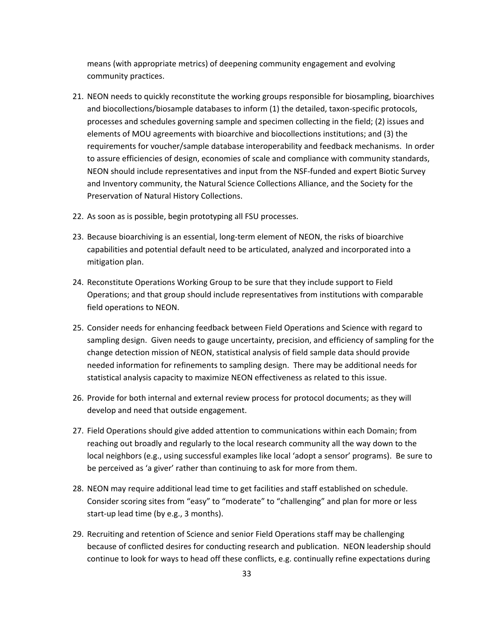means (with appropriate metrics) of deepening community engagement and evolving community practices.

- 21. NEON needs to quickly reconstitute the working groups responsible for biosampling, bioarchives and biocollections/biosample databases to inform (1) the detailed, taxon-specific protocols, processes and schedules governing sample and specimen collecting in the field; (2) issues and elements of MOU agreements with bioarchive and biocollections institutions; and (3) the requirements for voucher/sample database interoperability and feedback mechanisms. In order to assure efficiencies of design, economies of scale and compliance with community standards, NEON should include representatives and input from the NSF-funded and expert Biotic Survey and Inventory community, the Natural Science Collections Alliance, and the Society for the Preservation of Natural History Collections.
- 22. As soon as is possible, begin prototyping all FSU processes.
- 23. Because bioarchiving is an essential, long-term element of NEON, the risks of bioarchive capabilities and potential default need to be articulated, analyzed and incorporated into a mitigation plan.
- 24. Reconstitute Operations Working Group to be sure that they include support to Field Operations; and that group should include representatives from institutions with comparable field operations to NEON.
- 25. Consider needs for enhancing feedback between Field Operations and Science with regard to sampling design. Given needs to gauge uncertainty, precision, and efficiency of sampling for the change detection mission of NEON, statistical analysis of field sample data should provide needed information for refinements to sampling design. There may be additional needs for statistical analysis capacity to maximize NEON effectiveness as related to this issue.
- 26. Provide for both internal and external review process for protocol documents; as they will develop and need that outside engagement.
- 27. Field Operations should give added attention to communications within each Domain; from reaching out broadly and regularly to the local research community all the way down to the local neighbors (e.g., using successful examples like local 'adopt a sensor' programs). Be sure to be perceived as 'a giver' rather than continuing to ask for more from them.
- 28. NEON may require additional lead time to get facilities and staff established on schedule. Consider scoring sites from "easy" to "moderate" to "challenging" and plan for more or less start-up lead time (by e.g., 3 months).
- 29. Recruiting and retention of Science and senior Field Operations staff may be challenging because of conflicted desires for conducting research and publication. NEON leadership should continue to look for ways to head off these conflicts, e.g. continually refine expectations during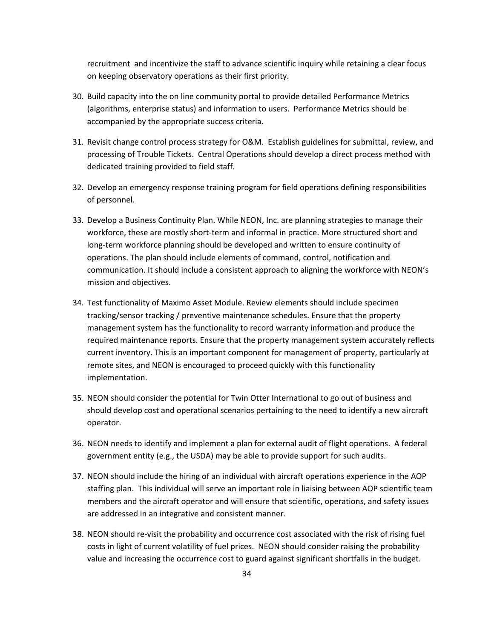recruitment and incentivize the staff to advance scientific inquiry while retaining a clear focus on keeping observatory operations as their first priority.

- 30. Build capacity into the on line community portal to provide detailed Performance Metrics (algorithms, enterprise status) and information to users. Performance Metrics should be accompanied by the appropriate success criteria.
- 31. Revisit change control process strategy for O&M. Establish guidelines for submittal, review, and processing of Trouble Tickets. Central Operations should develop a direct process method with dedicated training provided to field staff.
- 32. Develop an emergency response training program for field operations defining responsibilities of personnel.
- 33. Develop a Business Continuity Plan. While NEON, Inc. are planning strategies to manage their workforce, these are mostly short-term and informal in practice. More structured short and long-term workforce planning should be developed and written to ensure continuity of operations. The plan should include elements of command, control, notification and communication. It should include a consistent approach to aligning the workforce with NEON's mission and objectives.
- 34. Test functionality of Maximo Asset Module. Review elements should include specimen tracking/sensor tracking / preventive maintenance schedules. Ensure that the property management system has the functionality to record warranty information and produce the required maintenance reports. Ensure that the property management system accurately reflects current inventory. This is an important component for management of property, particularly at remote sites, and NEON is encouraged to proceed quickly with this functionality implementation.
- 35. NEON should consider the potential for Twin Otter International to go out of business and should develop cost and operational scenarios pertaining to the need to identify a new aircraft operator.
- 36. NEON needs to identify and implement a plan for external audit of flight operations. A federal government entity (e.g., the USDA) may be able to provide support for such audits.
- 37. NEON should include the hiring of an individual with aircraft operations experience in the AOP staffing plan. This individual will serve an important role in liaising between AOP scientific team members and the aircraft operator and will ensure that scientific, operations, and safety issues are addressed in an integrative and consistent manner.
- 38. NEON should re-visit the probability and occurrence cost associated with the risk of rising fuel costs in light of current volatility of fuel prices. NEON should consider raising the probability value and increasing the occurrence cost to guard against significant shortfalls in the budget.